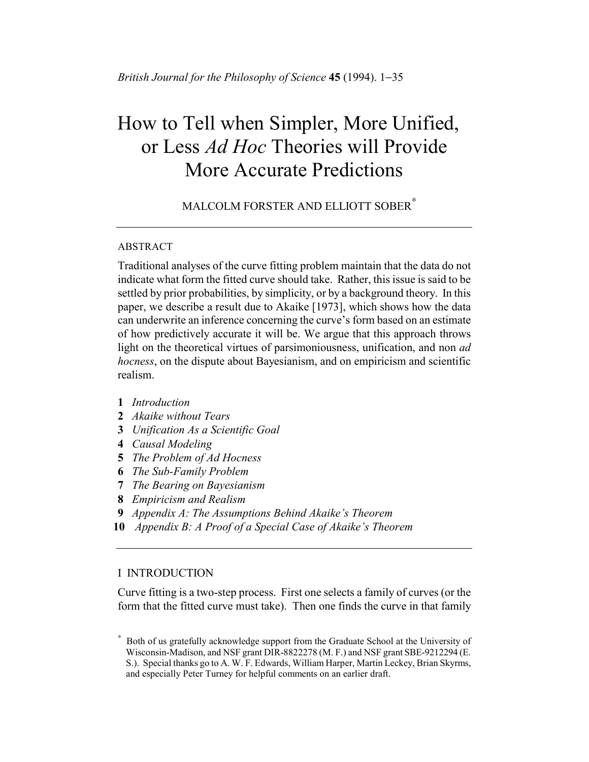# How to Tell when Simpler, More Unified, or Less *Ad Hoc* Theories will Provide More Accurate Predictions

MALCOLM FORSTER AND ELLIOTT SOBER®

# ABSTRACT

Traditional analyses of the curve fitting problem maintain that the data do not indicate what form the fitted curve should take. Rather, this issue is said to be settled by prior probabilities, by simplicity, or by a background theory. In this paper, we describe a result due to Akaike [1973], which shows how the data can underwrite an inference concerning the curve's form based on an estimate of how predictively accurate it will be. We argue that this approach throws light on the theoretical virtues of parsimoniousness, unification, and non *ad hocness*, on the dispute about Bayesianism, and on empiricism and scientific realism.

- **1** *Introduction*
- **2** *Akaike without Tears*
- **3** *Unification As a Scientific Goal*
- **4** *Causal Modeling*
- **5** *The Problem of Ad Hocness*
- **6** *The Sub-Family Problem*
- **7** *The Bearing on Bayesianism*
- **8** *Empiricism and Realism*
- **9** *Appendix A: The Assumptions Behind Akaike's Theorem*
- **10** *Appendix B: A Proof of a Special Case of Akaike's Theorem*

# I INTRODUCTION

Curve fitting is a two-step process. First one selects a family of curves (or the form that the fitted curve must take). Then one finds the curve in that family

Both of us gratefully acknowledge support from the Graduate School at the University of Wisconsin-Madison, and NSF grant DIR-8822278 (M. F.) and NSF grant SBE-9212294 (E. S.). Special thanks go to A. W. F. Edwards, William Harper, Martin Leckey, Brian Skyrms, and especially Peter Turney for helpful comments on an earlier draft.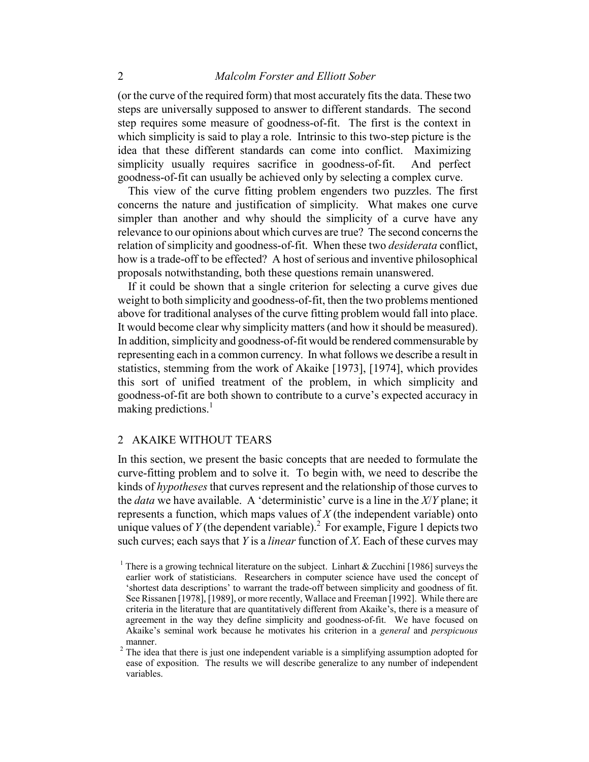(or the curve of the required form) that most accurately fits the data. These two steps are universally supposed to answer to different standards. The second step requires some measure of goodness-of-fit. The first is the context in which simplicity is said to play a role. Intrinsic to this two-step picture is the idea that these different standards can come into conflict. Maximizing simplicity usually requires sacrifice in goodness-of-fit. And perfect goodness-of-fit can usually be achieved only by selecting a complex curve.

This view of the curve fitting problem engenders two puzzles. The first concerns the nature and justification of simplicity. What makes one curve simpler than another and why should the simplicity of a curve have any relevance to our opinions about which curves are true? The second concerns the relation of simplicity and goodness-of-fit. When these two *desiderata* conflict, how is a trade-off to be effected? A host of serious and inventive philosophical proposals notwithstanding, both these questions remain unanswered.

If it could be shown that a single criterion for selecting a curve gives due weight to both simplicity and goodness-of-fit, then the two problems mentioned above for traditional analyses of the curve fitting problem would fall into place. It would become clear why simplicity matters (and how it should be measured). In addition, simplicity and goodness-of-fit would be rendered commensurable by representing each in a common currency. In what follows we describe a result in statistics, stemming from the work of Akaike [1973], [1974], which provides this sort of unified treatment of the problem, in which simplicity and goodness-of-fit are both shown to contribute to a curve's expected accuracy in making predictions. $<sup>1</sup>$ </sup>

## 2 AKAIKE WITHOUT TEARS

In this section, we present the basic concepts that are needed to formulate the curve-fitting problem and to solve it. To begin with, we need to describe the kinds of *hypotheses* that curves represent and the relationship of those curves to the *data* we have available. A 'deterministic' curve is a line in the  $X/Y$  plane; it represents a function, which maps values of *X* (the independent variable) onto unique values of  $Y$  (the dependent variable).<sup>2</sup> For example, Figure 1 depicts two such curves; each says that *Y* is a *linear* function of *X*. Each of these curves may

2 The idea that there is just one independent variable is a simplifying assumption adopted for ease of exposition. The results we will describe generalize to any number of independent variables.

<sup>&</sup>lt;sup>1</sup> There is a growing technical literature on the subject. Linhart & Zucchini [1986] surveys the earlier work of statisticians. Researchers in computer science have used the concept of 'shortest data descriptions' to warrant the trade-off between simplicity and goodness of fit. See Rissanen [1978], [1989], or more recently, Wallace and Freeman [1992]. While there are criteria in the literature that are quantitatively different from Akaike's, there is a measure of agreement in the way they define simplicity and goodness-of-fit. We have focused on Akaikeís seminal work because he motivates his criterion in a *general* and *perspicuous*  manner.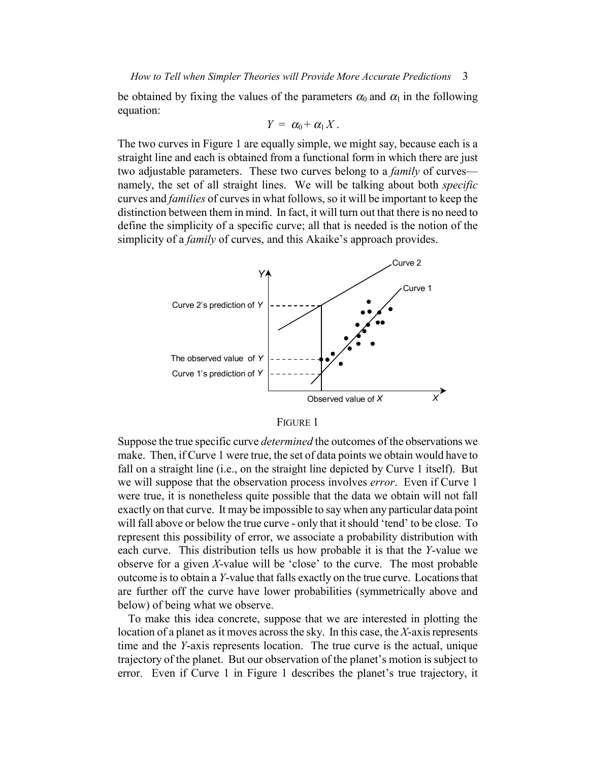be obtained by fixing the values of the parameters  $\alpha_0$  and  $\alpha_1$  in the following equation:

$$
Y = \alpha_0 + \alpha_1 X.
$$

The two curves in Figure 1 are equally simple, we might say, because each is a straight line and each is obtained from a functional form in which there are just two adjustable parameters. These two curves belong to a *family* of curves namely, the set of all straight lines. We will be talking about both *specific*  curves and *families* of curves in what follows, so it will be important to keep the distinction between them in mind. In fact, it will turn out that there is no need to define the simplicity of a specific curve; all that is needed is the notion of the simplicity of a *family* of curves, and this Akaike's approach provides.





Suppose the true specific curve *determined* the outcomes of the observations we make. Then, if Curve 1 were true, the set of data points we obtain would have to fall on a straight line (i.e., on the straight line depicted by Curve 1 itself). But we will suppose that the observation process involves *error*. Even if Curve 1 were true, it is nonetheless quite possible that the data we obtain will not fall exactly on that curve. It may be impossible to say when any particular data point will fall above or below the true curve - only that it should 'tend' to be close. To represent this possibility of error, we associate a probability distribution with each curve. This distribution tells us how probable it is that the *Y*-value we observe for a given  $X$ -value will be 'close' to the curve. The most probable outcome is to obtain a *Y*-value that falls exactly on the true curve. Locations that are further off the curve have lower probabilities (symmetrically above and below) of being what we observe.

To make this idea concrete, suppose that we are interested in plotting the location of a planet as it moves across the sky. In this case, the *X*-axis represents time and the *Y*-axis represents location. The true curve is the actual, unique trajectory of the planet. But our observation of the planet's motion is subject to error. Even if Curve 1 in Figure 1 describes the planet's true trajectory, it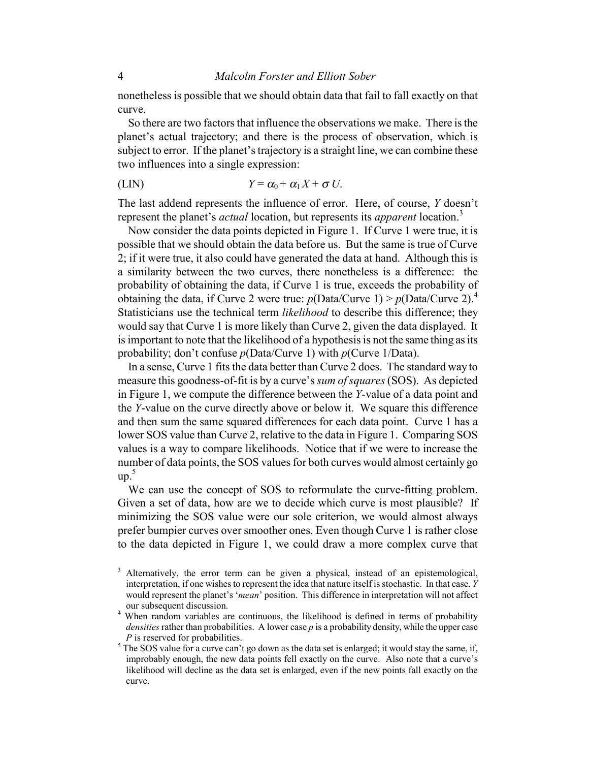nonetheless is possible that we should obtain data that fail to fall exactly on that curve.

So there are two factors that influence the observations we make. There is the planet's actual trajectory; and there is the process of observation, which is subject to error. If the planet's trajectory is a straight line, we can combine these two influences into a single expression:

$$
Y = \alpha_0 + \alpha_1 X + \sigma U.
$$

The last addend represents the influence of error. Here, of course, *Y* doesn't represent the planet's *actual* location, but represents its *apparent* location.<sup>3</sup>

Now consider the data points depicted in Figure 1. If Curve 1 were true, it is possible that we should obtain the data before us. But the same is true of Curve 2; if it were true, it also could have generated the data at hand. Although this is a similarity between the two curves, there nonetheless is a difference: the probability of obtaining the data, if Curve 1 is true, exceeds the probability of obtaining the data, if Curve 2 were true:  $p(\text{Data/Curve 1}) > p(\text{Data/Curve 2}).$ <sup>4</sup> Statisticians use the technical term *likelihood* to describe this difference; they would say that Curve 1 is more likely than Curve 2, given the data displayed. It is important to note that the likelihood of a hypothesis is not the same thing as its probability; don't confuse  $p(Data/Curve 1)$  with  $p(Curve 1/Data)$ .

In a sense, Curve 1 fits the data better than Curve 2 does. The standard way to measure this goodness-of-fit is by a curve's *sum of squares* (SOS). As depicted in Figure 1, we compute the difference between the *Y*-value of a data point and the *Y*-value on the curve directly above or below it. We square this difference and then sum the same squared differences for each data point. Curve 1 has a lower SOS value than Curve 2, relative to the data in Figure 1. Comparing SOS values is a way to compare likelihoods. Notice that if we were to increase the number of data points, the SOS values for both curves would almost certainly go  $up.<sup>5</sup>$ 

We can use the concept of SOS to reformulate the curve-fitting problem. Given a set of data, how are we to decide which curve is most plausible? If minimizing the SOS value were our sole criterion, we would almost always prefer bumpier curves over smoother ones. Even though Curve 1 is rather close to the data depicted in Figure 1, we could draw a more complex curve that

<sup>&</sup>lt;sup>3</sup> Alternatively, the error term can be given a physical, instead of an epistemological, interpretation, if one wishes to represent the idea that nature itself is stochastic. In that case, *Y*  would represent the planet's '*mean*' position. This difference in interpretation will not affect our subsequent discussion.<br><sup>4</sup> When random variables are continuous, the likelihood is defined in terms of probability

*densities* rather than probabilities. A lower case *p* is a probability density, while the upper case *P* is reserved for probabilities.<br><sup>5</sup> The SOS value for a curve can't go down as the data set is enlarged; it would stay the same, if,

improbably enough, the new data points fell exactly on the curve. Also note that a curve's likelihood will decline as the data set is enlarged, even if the new points fall exactly on the curve.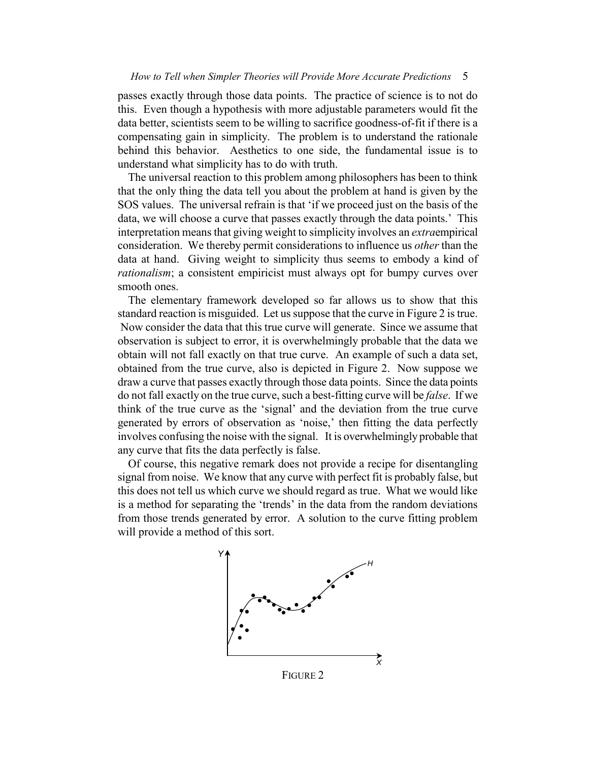passes exactly through those data points. The practice of science is to not do this. Even though a hypothesis with more adjustable parameters would fit the data better, scientists seem to be willing to sacrifice goodness-of-fit if there is a compensating gain in simplicity. The problem is to understand the rationale behind this behavior. Aesthetics to one side, the fundamental issue is to understand what simplicity has to do with truth.

The universal reaction to this problem among philosophers has been to think that the only thing the data tell you about the problem at hand is given by the SOS values. The universal refrain is that ëif we proceed just on the basis of the data, we will choose a curve that passes exactly through the data points. This interpretation means that giving weight to simplicity involves an *extra*empirical consideration. We thereby permit considerations to influence us *other* than the data at hand. Giving weight to simplicity thus seems to embody a kind of *rationalism*; a consistent empiricist must always opt for bumpy curves over smooth ones.

The elementary framework developed so far allows us to show that this standard reaction is misguided. Let us suppose that the curve in Figure 2 is true. Now consider the data that this true curve will generate. Since we assume that observation is subject to error, it is overwhelmingly probable that the data we obtain will not fall exactly on that true curve. An example of such a data set, obtained from the true curve, also is depicted in Figure 2. Now suppose we draw a curve that passes exactly through those data points. Since the data points do not fall exactly on the true curve, such a best-fitting curve will be *false*. If we think of the true curve as the 'signal' and the deviation from the true curve generated by errors of observation as 'noise,' then fitting the data perfectly involves confusing the noise with the signal. It is overwhelmingly probable that any curve that fits the data perfectly is false.

Of course, this negative remark does not provide a recipe for disentangling signal from noise. We know that any curve with perfect fit is probably false, but this does not tell us which curve we should regard as true. What we would like is a method for separating the 'trends' in the data from the random deviations from those trends generated by error. A solution to the curve fitting problem will provide a method of this sort.



FIGURE 2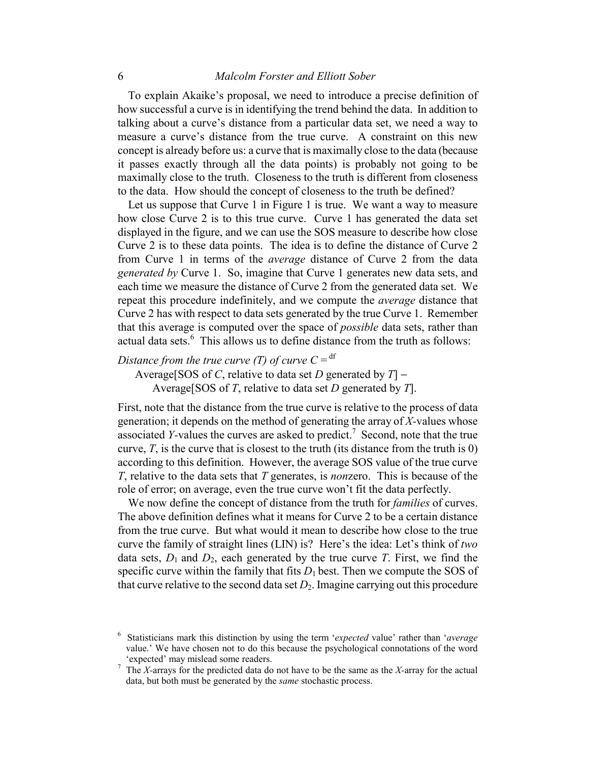To explain Akaike's proposal, we need to introduce a precise definition of how successful a curve is in identifying the trend behind the data. In addition to talking about a curve's distance from a particular data set, we need a way to measure a curve's distance from the true curve. A constraint on this new concept is already before us: a curve that is maximally close to the data (because it passes exactly through all the data points) is probably not going to be maximally close to the truth. Closeness to the truth is different from closeness to the data. How should the concept of closeness to the truth be defined?

Let us suppose that Curve 1 in Figure 1 is true. We want a way to measure how close Curve 2 is to this true curve. Curve 1 has generated the data set displayed in the figure, and we can use the SOS measure to describe how close Curve 2 is to these data points. The idea is to define the distance of Curve 2 from Curve 1 in terms of the *average* distance of Curve 2 from the data *generated by* Curve 1. So, imagine that Curve 1 generates new data sets, and each time we measure the distance of Curve 2 from the generated data set. We repeat this procedure indefinitely, and we compute the *average* distance that Curve 2 has with respect to data sets generated by the true Curve 1. Remember that this average is computed over the space of *possible* data sets, rather than actual data sets. $6$  This allows us to define distance from the truth as follows:

*Distance from the true curve (T) of curve C* =  $^{df}$ 

Average[SOS of *C*, relative to data set *D* generated by *T*] −

Average[SOS of *T*, relative to data set *D* generated by *T*].

First, note that the distance from the true curve is relative to the process of data generation; it depends on the method of generating the array of *X-*values whose associated *Y*-values the curves are asked to predict.<sup>7</sup> Second, note that the true curve,  $T$ , is the curve that is closest to the truth (its distance from the truth is 0) according to this definition. However, the average SOS value of the true curve *T*, relative to the data sets that *T* generates, is *non*zero. This is because of the role of error; on average, even the true curve won't fit the data perfectly.

We now define the concept of distance from the truth for *families* of curves. The above definition defines what it means for Curve 2 to be a certain distance from the true curve. But what would it mean to describe how close to the true curve the family of straight lines (LIN) is? Here's the idea: Let's think of *two* data sets,  $D_1$  and  $D_2$ , each generated by the true curve *T*. First, we find the specific curve within the family that fits  $D_1$  best. Then we compute the SOS of that curve relative to the second data set  $D_2$ . Imagine carrying out this procedure

<sup>6</sup> Statisticians mark this distinction by using the term *'expected* value' rather than '*average* value.' We have chosen not to do this because the psychological connotations of the word 'expected' may mislead some readers.

 $\frac{7}{7}$  The *X*-arrays for the predicted data do not have to be the same as the *X*-array for the actual data, but both must be generated by the *same* stochastic process.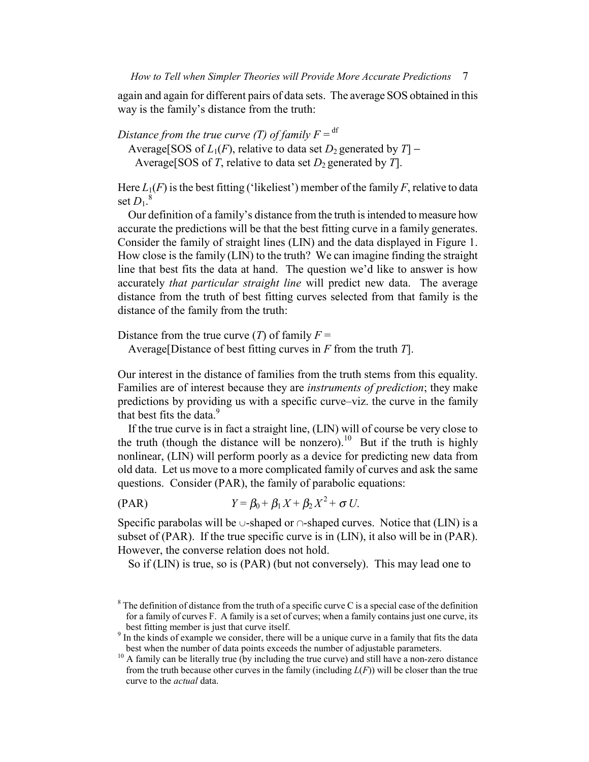again and again for different pairs of data sets. The average SOS obtained in this way is the family's distance from the truth:

*Distance from the true curve (T) of family*  $F =$ <sup>df</sup>

Average[SOS of  $L_1(F)$ , relative to data set  $D_2$  generated by  $T$ ] –

Average[SOS of *T*, relative to data set  $D_2$  generated by *T*].

Here  $L_1(F)$  is the best fitting ('likeliest') member of the family F, relative to data set  $D_1$ .<sup>8</sup>

Our definition of a family's distance from the truth is intended to measure how accurate the predictions will be that the best fitting curve in a family generates. Consider the family of straight lines (LIN) and the data displayed in Figure 1. How close is the family (LIN) to the truth? We can imagine finding the straight line that best fits the data at hand. The question we'd like to answer is how accurately *that particular straight line* will predict new data. The average distance from the truth of best fitting curves selected from that family is the distance of the family from the truth:

Distance from the true curve  $(T)$  of family  $F =$ 

Average[Distance of best fitting curves in *F* from the truth *T*].

Our interest in the distance of families from the truth stems from this equality. Families are of interest because they are *instruments of prediction*; they make predictions by providing us with a specific curve–viz. the curve in the family that best fits the data.<sup>9</sup>

If the true curve is in fact a straight line, (LIN) will of course be very close to the truth (though the distance will be nonzero).<sup>10</sup> But if the truth is highly nonlinear, (LIN) will perform poorly as a device for predicting new data from old data. Let us move to a more complicated family of curves and ask the same questions. Consider (PAR), the family of parabolic equations:

(PAR)  $Y = \beta_0 + \beta_1 X + \beta_2 X^2 + \sigma U$ .

Specific parabolas will be  $\cup$ -shaped or  $\cap$ -shaped curves. Notice that (LIN) is a subset of (PAR). If the true specific curve is in (LIN), it also will be in (PAR). However, the converse relation does not hold.

So if (LIN) is true, so is (PAR) (but not conversely). This may lead one to

 $8$  The definition of distance from the truth of a specific curve C is a special case of the definition for a family of curves F. A family is a set of curves; when a family contains just one curve, its best fitting member is just that curve itself.

 $9<sup>9</sup>$  In the kinds of example we consider, there will be a unique curve in a family that fits the data

best when the number of data points exceeds the number of adjustable parameters.<br><sup>10</sup> A family can be literally true (by including the true curve) and still have a non-zero distance from the truth because other curves in the family (including *L*(*F*)) will be closer than the true curve to the *actual* data.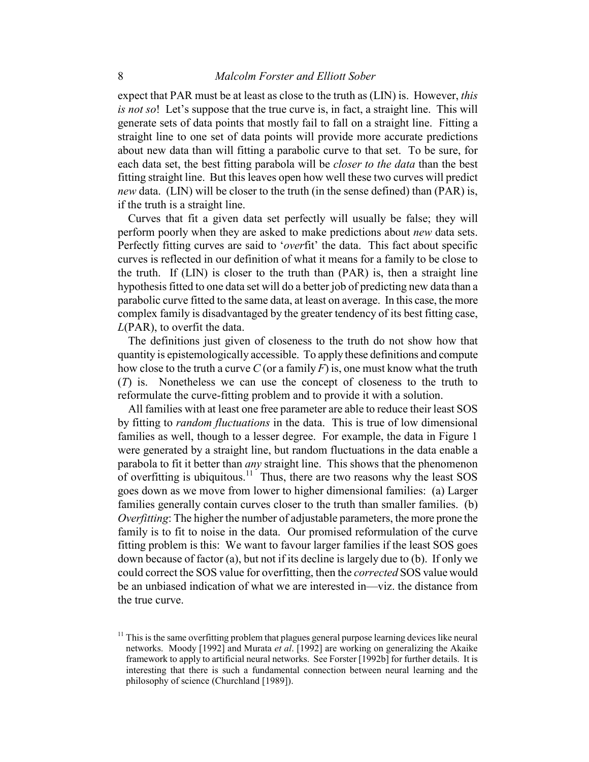expect that PAR must be at least as close to the truth as (LIN) is. However, *this is not so*! Let's suppose that the true curve is, in fact, a straight line. This will generate sets of data points that mostly fail to fall on a straight line. Fitting a straight line to one set of data points will provide more accurate predictions about new data than will fitting a parabolic curve to that set. To be sure, for each data set, the best fitting parabola will be *closer to the data* than the best fitting straight line. But this leaves open how well these two curves will predict *new* data. (LIN) will be closer to the truth (in the sense defined) than (PAR) is, if the truth is a straight line.

Curves that fit a given data set perfectly will usually be false; they will perform poorly when they are asked to make predictions about *new* data sets. Perfectly fitting curves are said to *'overfit'* the data. This fact about specific curves is reflected in our definition of what it means for a family to be close to the truth. If (LIN) is closer to the truth than (PAR) is, then a straight line hypothesis fitted to one data set will do a better job of predicting new data than a parabolic curve fitted to the same data, at least on average. In this case, the more complex family is disadvantaged by the greater tendency of its best fitting case, *L*(PAR), to overfit the data.

The definitions just given of closeness to the truth do not show how that quantity is epistemologically accessible. To apply these definitions and compute how close to the truth a curve *C* (or a family *F*) is, one must know what the truth (*T*) is. Nonetheless we can use the concept of closeness to the truth to reformulate the curve-fitting problem and to provide it with a solution.

All families with at least one free parameter are able to reduce their least SOS by fitting to *random fluctuations* in the data. This is true of low dimensional families as well, though to a lesser degree. For example, the data in Figure 1 were generated by a straight line, but random fluctuations in the data enable a parabola to fit it better than *any* straight line. This shows that the phenomenon of overfitting is ubiquitous.<sup>11</sup> Thus, there are two reasons why the least SOS goes down as we move from lower to higher dimensional families: (a) Larger families generally contain curves closer to the truth than smaller families. (b) *Overfitting*: The higher the number of adjustable parameters, the more prone the family is to fit to noise in the data. Our promised reformulation of the curve fitting problem is this: We want to favour larger families if the least SOS goes down because of factor (a), but not if its decline is largely due to (b). If only we could correct the SOS value for overfitting, then the *corrected* SOS value would be an unbiased indication of what we are interested in—viz. the distance from the true curve.

 $11$ . This is the same overfitting problem that plagues general purpose learning devices like neural networks. Moody [1992] and Murata *et al*. [1992] are working on generalizing the Akaike framework to apply to artificial neural networks. See Forster [1992b] for further details. It is interesting that there is such a fundamental connection between neural learning and the philosophy of science (Churchland [1989]).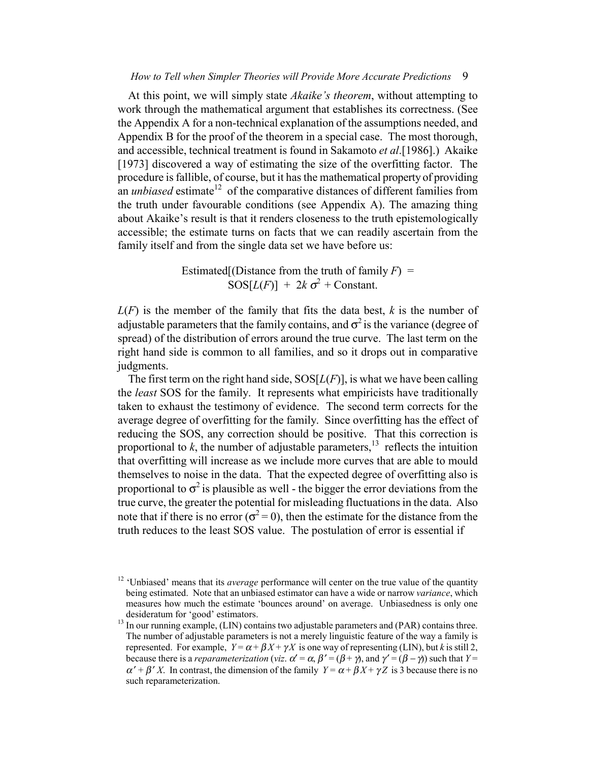At this point, we will simply state *Akaike's theorem*, without attempting to work through the mathematical argument that establishes its correctness. (See the Appendix A for a non-technical explanation of the assumptions needed, and Appendix B for the proof of the theorem in a special case. The most thorough, and accessible, technical treatment is found in Sakamoto *et al*.[1986].) Akaike [1973] discovered a way of estimating the size of the overfitting factor. The procedure is fallible, of course, but it has the mathematical property of providing an *unbiased* estimate<sup>12</sup> of the comparative distances of different families from the truth under favourable conditions (see Appendix A). The amazing thing about Akaike's result is that it renders closeness to the truth epistemologically accessible; the estimate turns on facts that we can readily ascertain from the family itself and from the single data set we have before us:

> Estimated<sup>[</sup>(Distance from the truth of family  $F$ ) =  $\frac{1}{\text{SOS}}[L(F)] + 2k\sigma^2 + \text{Constant}.$

 $L(F)$  is the member of the family that fits the data best,  $k$  is the number of adjustable parameters that the family contains, and  $\sigma^2$  is the variance (degree of spread) of the distribution of errors around the true curve. The last term on the right hand side is common to all families, and so it drops out in comparative judgments.

The first term on the right hand side,  $SOS[L(F)]$ , is what we have been calling the *least* SOS for the family. It represents what empiricists have traditionally taken to exhaust the testimony of evidence. The second term corrects for the average degree of overfitting for the family. Since overfitting has the effect of reducing the SOS, any correction should be positive. That this correction is proportional to  $k$ , the number of adjustable parameters,<sup>13</sup> reflects the intuition that overfitting will increase as we include more curves that are able to mould themselves to noise in the data. That the expected degree of overfitting also is proportional to  $\sigma^2$  is plausible as well - the bigger the error deviations from the true curve, the greater the potential for misleading fluctuations in the data. Also note that if there is no error ( $\sigma^2 = 0$ ), then the estimate for the distance from the truth reduces to the least SOS value. The postulation of error is essential if

 $12$  'Unbiased' means that its *average* performance will center on the true value of the quantity being estimated. Note that an unbiased estimator can have a wide or narrow *variance*, which measures how much the estimate 'bounces around' on average. Unbiasedness is only one desideratum for 'good' estimators.

<sup>&</sup>lt;sup>13</sup> In our running example, (LIN) contains two adjustable parameters and (PAR) contains three. The number of adjustable parameters is not a merely linguistic feature of the way a family is represented. For example,  $Y = \alpha + \beta X + \gamma X$  is one way of representing (LIN), but *k* is still 2, because there is a *reparameterization* (*viz*.  $\alpha' = \alpha$ ,  $\beta' = (\beta + \gamma)$ , and  $\gamma' = (\beta - \gamma)$ ) such that  $Y = \gamma$  $\alpha' + \beta' X$ . In contrast, the dimension of the family  $Y = \alpha + \beta X + \gamma Z$  is 3 because there is no such reparameterization.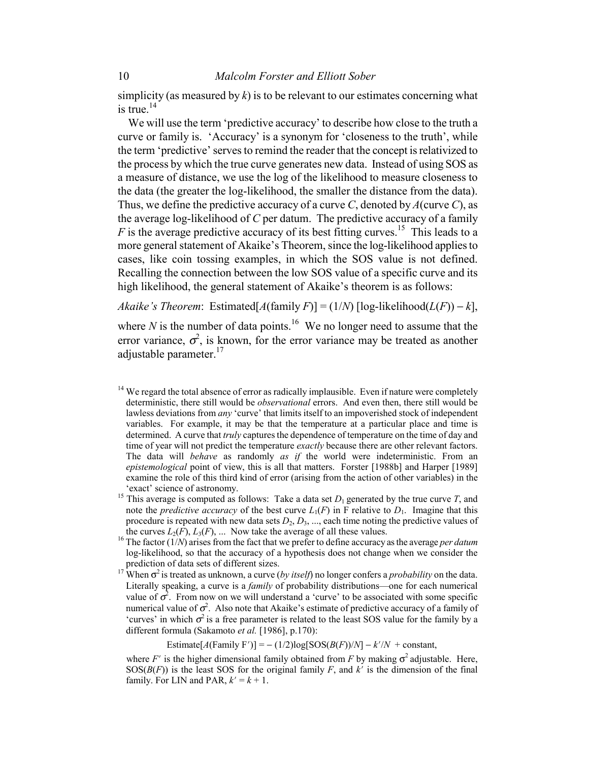simplicity (as measured by  $k$ ) is to be relevant to our estimates concerning what is true. $14$ 

We will use the term 'predictive accuracy' to describe how close to the truth a curve or family is. 'Accuracy' is a synonym for 'closeness to the truth', while the term 'predictive' serves to remind the reader that the concept is relativized to the process by which the true curve generates new data. Instead of using SOS as a measure of distance, we use the log of the likelihood to measure closeness to the data (the greater the log-likelihood, the smaller the distance from the data). Thus, we define the predictive accuracy of a curve *C*, denoted by *A*(curve *C*), as the average log-likelihood of *C* per datum. The predictive accuracy of a family *F* is the average predictive accuracy of its best fitting curves.<sup>15</sup> This leads to a more general statement of Akaike's Theorem, since the log-likelihood applies to cases, like coin tossing examples, in which the SOS value is not defined. Recalling the connection between the low SOS value of a specific curve and its high likelihood, the general statement of Akaike's theorem is as follows:

*Akaike's Theorem*: Estimated[ $A$ (family  $F$ )] = (1/*N*) [log-likelihood( $L(F)$ ) −  $k$ ],

where  $N$  is the number of data points.<sup>16</sup> We no longer need to assume that the error variance,  $\sigma^2$ , is known, for the error variance may be treated as another adjustable parameter.<sup>17</sup>

Estimate[ $A$ (Family F')] = - (1/2)log[SOS( $B$ (*F*))/*N*] –  $k^{\prime}/N$  + constant,

where *F'* is the higher dimensional family obtained from *F* by making  $\sigma^2$  adjustable. Here,  $SOS(B(F))$  is the least SOS for the original family *F*, and *k'* is the dimension of the final family. For LIN and PAR,  $k' = k + 1$ .

 $14$  We regard the total absence of error as radically implausible. Even if nature were completely deterministic, there still would be *observational* errors. And even then, there still would be lawless deviations from *any* 'curve' that limits itself to an impoverished stock of independent variables. For example, it may be that the temperature at a particular place and time is determined. A curve that *truly* captures the dependence of temperature on the time of day and time of year will not predict the temperature *exactly* because there are other relevant factors. The data will *behave* as randomly *as if* the world were indeterministic. From an *epistemological* point of view, this is all that matters. Forster [1988b] and Harper [1989] examine the role of this third kind of error (arising from the action of other variables) in the

<sup>&</sup>lt;sup>15</sup> This average is computed as follows: Take a data set  $D_1$  generated by the true curve *T*, and <sup>15</sup> note the *predictive accuracy* of the best curve  $L_1(F)$  in F relative to  $D_1$ . Imagine that this procedure is repeated with new data sets  $D_2$ ,  $D_3$ , ..., each time noting the predictive values of the curves  $L_2(F)$ ,  $L_3(F)$ , ... Now take the average of all these values.

<sup>&</sup>lt;sup>16</sup> The factor  $(1/N)$  arises from the fact that we prefer to define accuracy as the average *per datum* <sup>16</sup> log-likelihood, so that the accuracy of a hypothesis does not change when we consider the prediction of data sets of different sizes.

prediction of data sets of different sizes. 17 When σ2 is treated as unknown, a curve (*by itself*) no longer confers a *probability* on the data. Literally speaking, a curve is a *family* of probability distributions—one for each numerical value of  $\sigma^2$ . From now on we will understand a 'curve' to be associated with some specific numerical value of  $\sigma^2$ . Also note that Akaike's estimate of predictive accuracy of a family of 'curves' in which  $\sigma^2$  is a free parameter is related to the least SOS value for the family by a different formula (Sakamoto *et al.* [1986], p.170):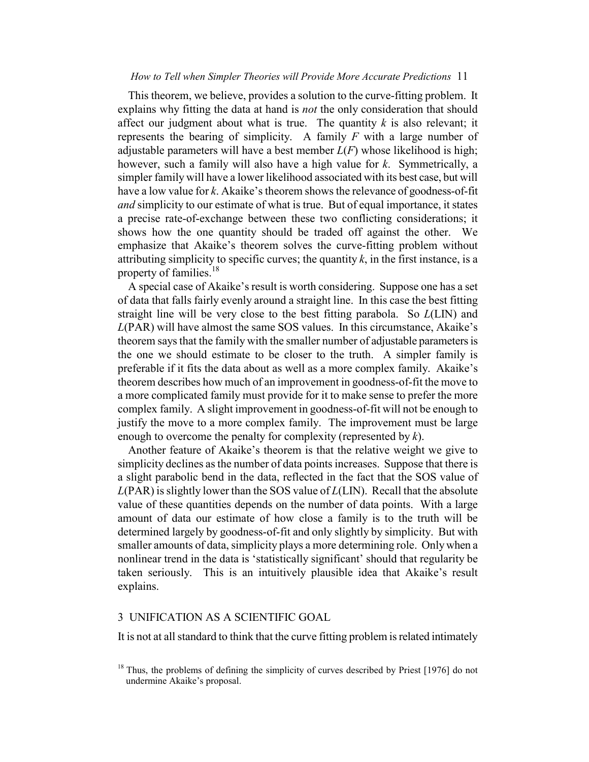This theorem, we believe, provides a solution to the curve-fitting problem. It explains why fitting the data at hand is *not* the only consideration that should affect our judgment about what is true. The quantity *k* is also relevant; it represents the bearing of simplicity. A family *F* with a large number of adjustable parameters will have a best member *L*(*F*) whose likelihood is high; however, such a family will also have a high value for *k*. Symmetrically, a simpler family will have a lower likelihood associated with its best case, but will have a low value for *k*. Akaike's theorem shows the relevance of goodness-of-fit *and* simplicity to our estimate of what is true. But of equal importance, it states a precise rate-of-exchange between these two conflicting considerations; it shows how the one quantity should be traded off against the other. We emphasize that Akaike's theorem solves the curve-fitting problem without attributing simplicity to specific curves; the quantity  $k$ , in the first instance, is a property of families.<sup>18</sup>

A special case of Akaike's result is worth considering. Suppose one has a set of data that falls fairly evenly around a straight line. In this case the best fitting straight line will be very close to the best fitting parabola. So *L*(LIN) and *L*(PAR) will have almost the same SOS values. In this circumstance, Akaike's theorem says that the family with the smaller number of adjustable parameters is the one we should estimate to be closer to the truth. A simpler family is preferable if it fits the data about as well as a more complex family. Akaike's theorem describes how much of an improvement in goodness-of-fit the move to a more complicated family must provide for it to make sense to prefer the more complex family. A slight improvement in goodness-of-fit will not be enough to justify the move to a more complex family. The improvement must be large enough to overcome the penalty for complexity (represented by *k*).

Another feature of Akaike's theorem is that the relative weight we give to simplicity declines as the number of data points increases. Suppose that there is a slight parabolic bend in the data, reflected in the fact that the SOS value of *L*(PAR) is slightly lower than the SOS value of *L*(LIN). Recall that the absolute value of these quantities depends on the number of data points. With a large amount of data our estimate of how close a family is to the truth will be determined largely by goodness-of-fit and only slightly by simplicity. But with smaller amounts of data, simplicity plays a more determining role. Only when a nonlinear trend in the data is 'statistically significant' should that regularity be taken seriously. This is an intuitively plausible idea that Akaike's result explains.

## 3 UNIFICATION AS A SCIENTIFIC GOAL

It is not at all standard to think that the curve fitting problem is related intimately

 $18$  Thus, the problems of defining the simplicity of curves described by Priest [1976] do not undermine Akaike's proposal.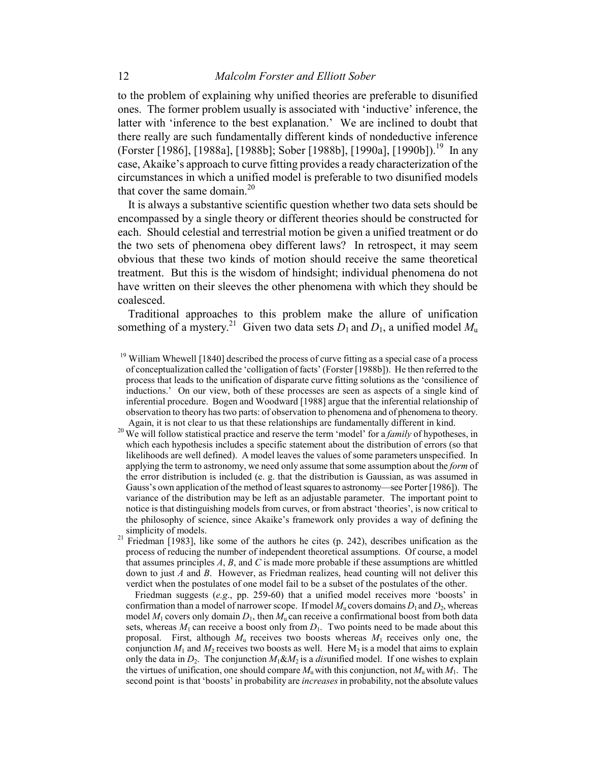to the problem of explaining why unified theories are preferable to disunified ones. The former problem usually is associated with 'inductive' inference, the latter with 'inference to the best explanation.' We are inclined to doubt that there really are such fundamentally different kinds of nondeductive inference (Forster [1986], [1988a], [1988b]; Sober [1988b], [1990a], [1990b]).<sup>19</sup> In any case, Akaike's approach to curve fitting provides a ready characterization of the circumstances in which a unified model is preferable to two disunified models that cover the same domain. $^{20}$ 

It is always a substantive scientific question whether two data sets should be encompassed by a single theory or different theories should be constructed for each. Should celestial and terrestrial motion be given a unified treatment or do the two sets of phenomena obey different laws? In retrospect, it may seem obvious that these two kinds of motion should receive the same theoretical treatment. But this is the wisdom of hindsight; individual phenomena do not have written on their sleeves the other phenomena with which they should be coalesced.

Traditional approaches to this problem make the allure of unification something of a mystery.<sup>21</sup> Given two data sets  $D_1$  and  $D_1$ , a unified model  $M_u$ 

 Again, it is not clear to us that these relationships are fundamentally different in kind. 20 We will follow statistical practice and reserve the term ëmodelí for a *family* of hypotheses, in which each hypothesis includes a specific statement about the distribution of errors (so that likelihoods are well defined). A model leaves the values of some parameters unspecified. In applying the term to astronomy, we need only assume that some assumption about the *form* of the error distribution is included (e. g. that the distribution is Gaussian, as was assumed in Gauss's own application of the method of least squares to astronomy—see Porter [1986]). The variance of the distribution may be left as an adjustable parameter. The important point to notice is that distinguishing models from curves, or from abstract 'theories', is now critical to the philosophy of science, since Akaike's framework only provides a way of defining the simplicity of models.<br><sup>21</sup> Friedman [1983], like some of the authors he cites (p. 242), describes unification as the

process of reducing the number of independent theoretical assumptions. Of course, a model that assumes principles *A*, *B*, and *C* is made more probable if these assumptions are whittled down to just *A* and *B*. However, as Friedman realizes, head counting will not deliver this verdict when the postulates of one model fail to be a subset of the postulates of the other.

Friedman suggests  $(e.g., pp. 259-60)$  that a unified model receives more 'boosts' in confirmation than a model of narrower scope. If model  $M_u$  covers domains  $D_1$  and  $D_2$ , whereas model  $M_1$  covers only domain  $D_1$ , then  $M_u$  can receive a confirmational boost from both data sets, whereas  $M_1$  can receive a boost only from  $D_1$ . Two points need to be made about this proposal. First, although  $M_u$  receives two boosts whereas  $M_1$  receives only one, the conjunction  $M_1$  and  $M_2$  receives two boosts as well. Here  $M_2$  is a model that aims to explain only the data in  $D_2$ . The conjunction  $M_1 \& M_2$  is a *dis*unified model. If one wishes to explain the virtues of unification, one should compare  $M_u$  with this conjunction, not  $M_u$  with  $M_1$ . The second point is that 'boosts' in probability are *increases* in probability, not the absolute values

 $19$  William Whewell [1840] described the process of curve fitting as a special case of a process of conceptualization called the ëcolligation of factsí (Forster [1988b]). He then referred to the process that leads to the unification of disparate curve fitting solutions as the ëconsilience of inductions.<sup>7</sup> On our view, both of these processes are seen as aspects of a single kind of inferential procedure. Bogen and Woodward [1988] argue that the inferential relationship of observation to theory has two parts: of observation to phenomena and of phenomena to theory.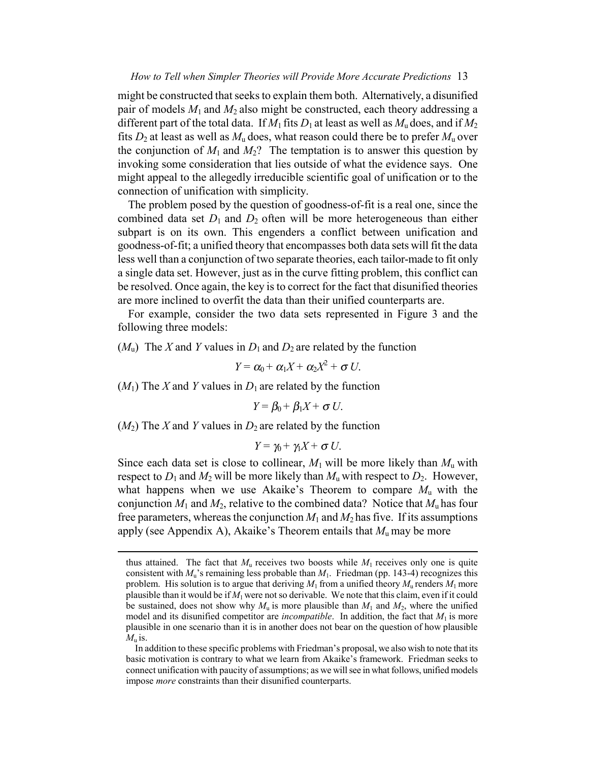might be constructed that seeks to explain them both. Alternatively, a disunified pair of models  $M_1$  and  $M_2$  also might be constructed, each theory addressing a different part of the total data. If  $M_1$  fits  $D_1$  at least as well as  $M_u$  does, and if  $M_2$ fits  $D_2$  at least as well as  $M_u$  does, what reason could there be to prefer  $M_u$  over the conjunction of  $M_1$  and  $M_2$ ? The temptation is to answer this question by invoking some consideration that lies outside of what the evidence says. One might appeal to the allegedly irreducible scientific goal of unification or to the connection of unification with simplicity.

The problem posed by the question of goodness-of-fit is a real one, since the combined data set  $D_1$  and  $D_2$  often will be more heterogeneous than either subpart is on its own. This engenders a conflict between unification and goodness-of-fit; a unified theory that encompasses both data sets will fit the data less well than a conjunction of two separate theories, each tailor-made to fit only a single data set. However, just as in the curve fitting problem, this conflict can be resolved. Once again, the key is to correct for the fact that disunified theories are more inclined to overfit the data than their unified counterparts are.

For example, consider the two data sets represented in Figure 3 and the following three models:

 $(M_u)$  The X and Y values in  $D_1$  and  $D_2$  are related by the function

$$
Y = \alpha_0 + \alpha_1 X + \alpha_2 X^2 + \sigma U.
$$

 $(M_1)$  The *X* and *Y* values in  $D_1$  are related by the function

$$
Y = \beta_0 + \beta_1 X + \sigma U.
$$

 $(M_2)$  The *X* and *Y* values in  $D_2$  are related by the function

 $\overline{a}$ 

$$
Y = \gamma_0 + \gamma_1 X + \sigma U.
$$

Since each data set is close to collinear,  $M_1$  will be more likely than  $M_u$  with respect to  $D_1$  and  $M_2$  will be more likely than  $M_u$  with respect to  $D_2$ . However, what happens when we use Akaike's Theorem to compare  $M<sub>u</sub>$  with the conjunction  $M_1$  and  $M_2$ , relative to the combined data? Notice that  $M_u$  has four free parameters, whereas the conjunction  $M_1$  and  $M_2$  has five. If its assumptions apply (see Appendix A), Akaike's Theorem entails that  $M<sub>u</sub>$  may be more

thus attained. The fact that  $M<sub>u</sub>$  receives two boosts while  $M<sub>1</sub>$  receives only one is quite consistent with  $M_u$ 's remaining less probable than  $M_1$ . Friedman (pp. 143-4) recognizes this problem. His solution is to argue that deriving  $M_1$  from a unified theory  $M_u$  renders  $M_1$  more plausible than it would be if  $M_1$  were not so derivable. We note that this claim, even if it could be sustained, does not show why  $M_u$  is more plausible than  $M_1$  and  $M_2$ , where the unified model and its disunified competitor are *incompatible*. In addition, the fact that  $M_1$  is more plausible in one scenario than it is in another does not bear on the question of how plausible  $M_{\rm u}$  is.

In addition to these specific problems with Friedman's proposal, we also wish to note that its basic motivation is contrary to what we learn from Akaike's framework. Friedman seeks to connect unification with paucity of assumptions; as we will see in what follows, unified models impose *more* constraints than their disunified counterparts.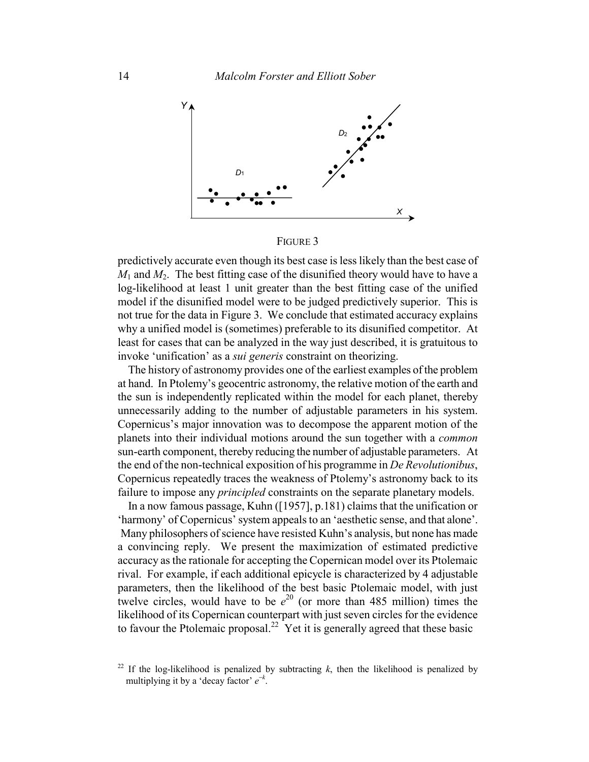

FIGURE 3

predictively accurate even though its best case is less likely than the best case of  $M_1$  and  $M_2$ . The best fitting case of the disunified theory would have to have a log-likelihood at least 1 unit greater than the best fitting case of the unified model if the disunified model were to be judged predictively superior. This is not true for the data in Figure 3. We conclude that estimated accuracy explains why a unified model is (sometimes) preferable to its disunified competitor. At least for cases that can be analyzed in the way just described, it is gratuitous to invoke 'unification' as a *sui generis* constraint on theorizing.

The history of astronomy provides one of the earliest examples of the problem at hand. In Ptolemy's geocentric astronomy, the relative motion of the earth and the sun is independently replicated within the model for each planet, thereby unnecessarily adding to the number of adjustable parameters in his system. Copernicus's major innovation was to decompose the apparent motion of the planets into their individual motions around the sun together with a *common*  sun-earth component, thereby reducing the number of adjustable parameters. At the end of the non-technical exposition of his programme in *De Revolutionibus*, Copernicus repeatedly traces the weakness of Ptolemy's astronomy back to its failure to impose any *principled* constraints on the separate planetary models.

In a now famous passage, Kuhn ([1957], p.181) claims that the unification or 'harmony' of Copernicus' system appeals to an 'aesthetic sense, and that alone'. Many philosophers of science have resisted Kuhn's analysis, but none has made a convincing reply. We present the maximization of estimated predictive accuracy as the rationale for accepting the Copernican model over its Ptolemaic rival. For example, if each additional epicycle is characterized by 4 adjustable parameters, then the likelihood of the best basic Ptolemaic model, with just twelve circles, would have to be  $e^{20}$  (or more than 485 million) times the likelihood of its Copernican counterpart with just seven circles for the evidence to favour the Ptolemaic proposal.<sup>22</sup> Yet it is generally agreed that these basic

<sup>&</sup>lt;sup>22</sup> If the log-likelihood is penalized by subtracting  $k$ , then the likelihood is penalized by multiplying it by a 'decay factor'  $e^{-k}$ .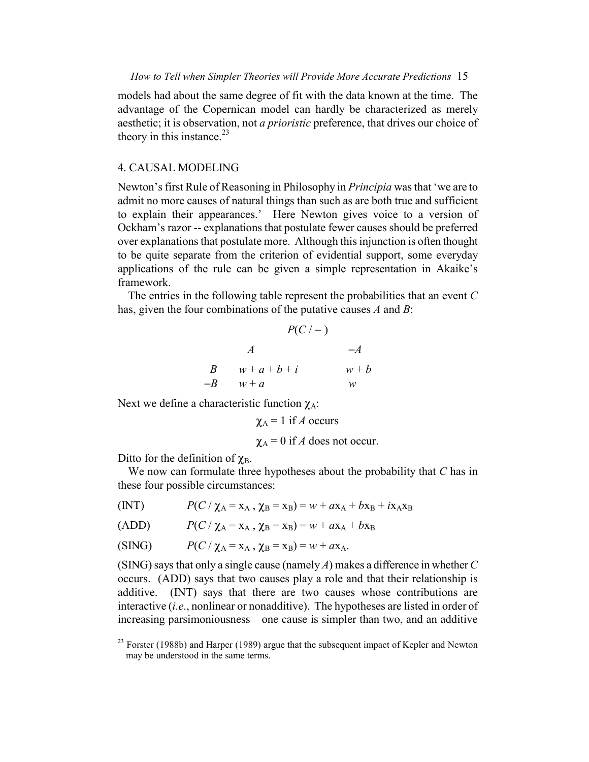models had about the same degree of fit with the data known at the time. The advantage of the Copernican model can hardly be characterized as merely aesthetic; it is observation, not *a prioristic* preference, that drives our choice of theory in this instance. $23$ 

#### 4. CAUSAL MODELING

Newtonís first Rule of Reasoning in Philosophy in *Principia* was that ëwe are to admit no more causes of natural things than such as are both true and sufficient to explain their appearances. Here Newton gives voice to a version of Ockham's razor -- explanations that postulate fewer causes should be preferred over explanations that postulate more. Although this injunction is often thought to be quite separate from the criterion of evidential support, some everyday applications of the rule can be given a simple representation in Akaike's framework.

The entries in the following table represent the probabilities that an event *C*  has, given the four combinations of the putative causes *A* and *B*:

$$
P(C/-)
$$
  
\nA  
\nB  
\n $w+a+b+i$   
\nB  
\n $w+a$   
\n $w+b$   
\nW  
\nW  
\nW  
\nW  
\nW  
\nW  
\nW  
\nW  
\nW

Next we define a characteristic function  $\chi_A$ :

$$
\chi_A = 1
$$
 if A occurs  
 $\chi_A = 0$  if A does not occur.

Ditto for the definition of  $\chi_{\rm B}$ .

We now can formulate three hypotheses about the probability that *C* has in these four possible circumstances:

$$
(INT) \t P(C / \chi_A = x_A, \chi_B = x_B) = w + a x_A + b x_B + i x_A x_B
$$

(ADD) 
$$
P(C / \chi_A = x_A, \chi_B = x_B) = w + ax_A + bx_B
$$

(SING) 
$$
P(C / \chi_A = x_A, \chi_B = x_B) = w + a x_A.
$$

(SING) says that only a single cause (namely *A*) makes a difference in whether *C*  occurs. (ADD) says that two causes play a role and that their relationship is additive. (INT) says that there are two causes whose contributions are interactive (*i.e*., nonlinear or nonadditive). The hypotheses are listed in order of increasing parsimoniousness—one cause is simpler than two, and an additive

 $23$  Forster (1988b) and Harper (1989) argue that the subsequent impact of Kepler and Newton may be understood in the same terms.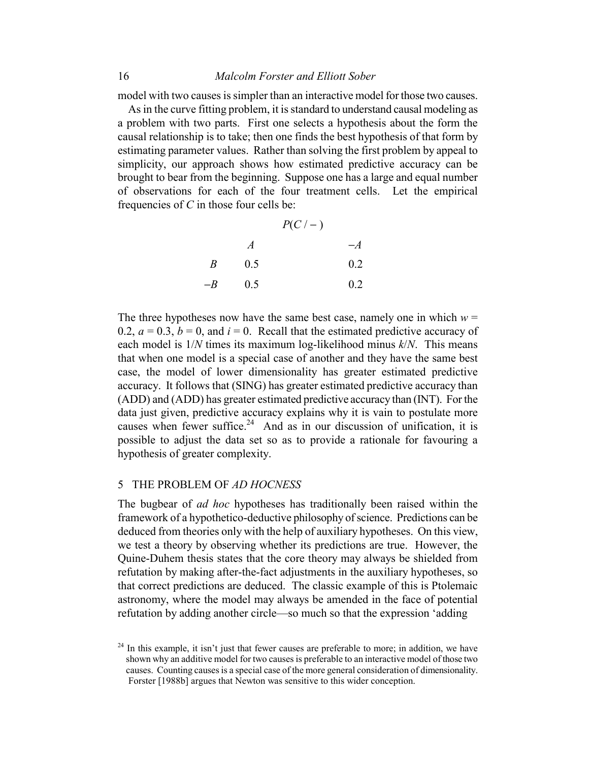model with two causes is simpler than an interactive model for those two causes.

As in the curve fitting problem, it is standard to understand causal modeling as a problem with two parts. First one selects a hypothesis about the form the causal relationship is to take; then one finds the best hypothesis of that form by estimating parameter values. Rather than solving the first problem by appeal to simplicity, our approach shows how estimated predictive accuracy can be brought to bear from the beginning. Suppose one has a large and equal number of observations for each of the four treatment cells. Let the empirical frequencies of *C* in those four cells be:

|                  |     | $P(C/-)$ |      |
|------------------|-----|----------|------|
|                  |     |          | $-A$ |
| $\boldsymbol{B}$ | 0.5 |          | 0.2  |
| $-R$             | 0.5 |          | 0.2  |

The three hypotheses now have the same best case, namely one in which  $w =$ 0.2,  $a = 0.3$ ,  $b = 0$ , and  $i = 0$ . Recall that the estimated predictive accuracy of each model is 1/*N* times its maximum log-likelihood minus *k*/*N*. This means that when one model is a special case of another and they have the same best case, the model of lower dimensionality has greater estimated predictive accuracy. It follows that (SING) has greater estimated predictive accuracy than (ADD) and (ADD) has greater estimated predictive accuracy than (INT). For the data just given, predictive accuracy explains why it is vain to postulate more causes when fewer suffice.<sup>24</sup> And as in our discussion of unification, it is possible to adjust the data set so as to provide a rationale for favouring a hypothesis of greater complexity.

# 5 THE PROBLEM OF *AD HOCNESS*

The bugbear of *ad hoc* hypotheses has traditionally been raised within the framework of a hypothetico-deductive philosophy of science. Predictions can be deduced from theories only with the help of auxiliary hypotheses. On this view, we test a theory by observing whether its predictions are true. However, the Quine-Duhem thesis states that the core theory may always be shielded from refutation by making after-the-fact adjustments in the auxiliary hypotheses, so that correct predictions are deduced. The classic example of this is Ptolemaic astronomy, where the model may always be amended in the face of potential refutation by adding another circle—so much so that the expression 'adding

 $24$  In this example, it isn't just that fewer causes are preferable to more; in addition, we have shown why an additive model for two causes is preferable to an interactive model of those two causes. Counting causes is a special case of the more general consideration of dimensionality. Forster [1988b] argues that Newton was sensitive to this wider conception.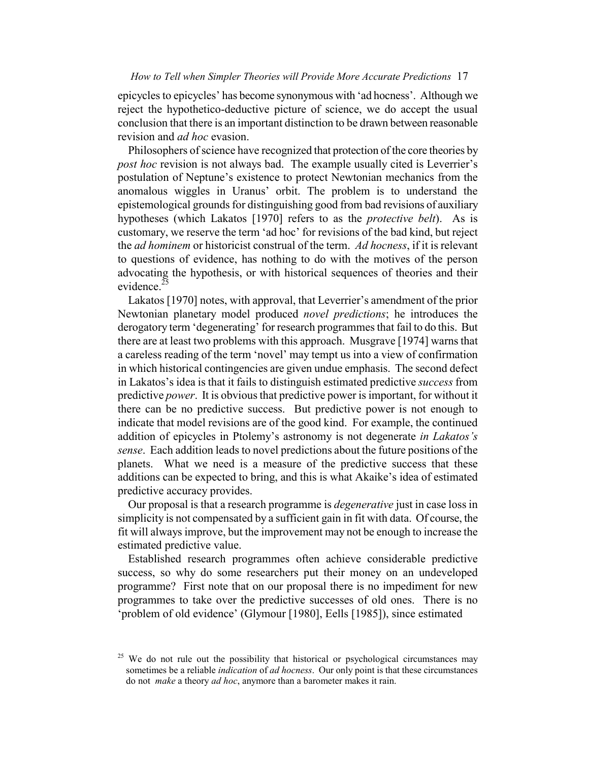epicycles to epicycles' has become synonymous with 'ad hocness'. Although we reject the hypothetico-deductive picture of science, we do accept the usual conclusion that there is an important distinction to be drawn between reasonable revision and *ad hoc* evasion.

Philosophers of science have recognized that protection of the core theories by *post hoc* revision is not always bad. The example usually cited is Leverrier's postulation of Neptune's existence to protect Newtonian mechanics from the anomalous wiggles in Uranus' orbit. The problem is to understand the epistemological grounds for distinguishing good from bad revisions of auxiliary hypotheses (which Lakatos [1970] refers to as the *protective belt*). As is customary, we reserve the term 'ad hoc' for revisions of the bad kind, but reject the *ad hominem* or historicist construal of the term. *Ad hocness*, if it is relevant to questions of evidence, has nothing to do with the motives of the person advocating the hypothesis, or with historical sequences of theories and their evidence.<sup>25</sup>

Lakatos [1970] notes, with approval, that Leverrier's amendment of the prior Newtonian planetary model produced *novel predictions*; he introduces the derogatory term 'degenerating' for research programmes that fail to do this. But there are at least two problems with this approach. Musgrave [1974] warns that a careless reading of the term 'novel' may tempt us into a view of confirmation in which historical contingencies are given undue emphasis. The second defect in Lakatos's idea is that it fails to distinguish estimated predictive *success* from predictive *power*. It is obvious that predictive power is important, for without it there can be no predictive success. But predictive power is not enough to indicate that model revisions are of the good kind. For example, the continued addition of epicycles in Ptolemy's astronomy is not degenerate *in Lakatos's sense*. Each addition leads to novel predictions about the future positions of the planets. What we need is a measure of the predictive success that these additions can be expected to bring, and this is what Akaike's idea of estimated predictive accuracy provides.

Our proposal is that a research programme is *degenerative* just in case loss in simplicity is not compensated by a sufficient gain in fit with data. Of course, the fit will always improve, but the improvement may not be enough to increase the estimated predictive value.

Established research programmes often achieve considerable predictive success, so why do some researchers put their money on an undeveloped programme? First note that on our proposal there is no impediment for new programmes to take over the predictive successes of old ones. There is no 'problem of old evidence' (Glymour [1980], Eells [1985]), since estimated

<sup>&</sup>lt;sup>25</sup> We do not rule out the possibility that historical or psychological circumstances may sometimes be a reliable *indication* of *ad hocness*. Our only point is that these circumstances do not *make* a theory *ad hoc*, anymore than a barometer makes it rain.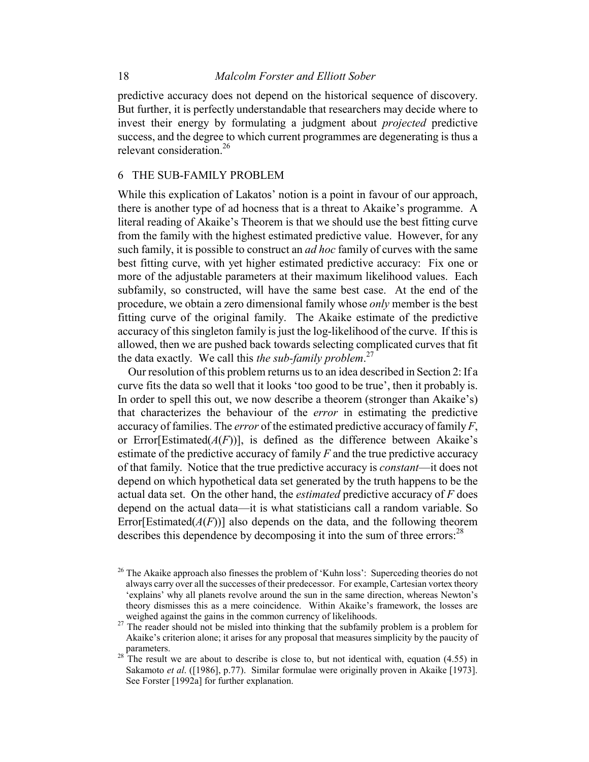## 18 *Malcolm Forster and Elliott Sober*

predictive accuracy does not depend on the historical sequence of discovery. But further, it is perfectly understandable that researchers may decide where to invest their energy by formulating a judgment about *projected* predictive success, and the degree to which current programmes are degenerating is thus a relevant consideration  $^{26}$ 

## 6 THE SUB-FAMILY PROBLEM

While this explication of Lakatos' notion is a point in favour of our approach, there is another type of ad hocness that is a threat to Akaike's programme. A literal reading of Akaike's Theorem is that we should use the best fitting curve from the family with the highest estimated predictive value. However, for any such family, it is possible to construct an *ad hoc* family of curves with the same best fitting curve, with yet higher estimated predictive accuracy: Fix one or more of the adjustable parameters at their maximum likelihood values. Each subfamily, so constructed, will have the same best case. At the end of the procedure, we obtain a zero dimensional family whose *only* member is the best fitting curve of the original family. The Akaike estimate of the predictive accuracy of this singleton family is just the log-likelihood of the curve. If this is allowed, then we are pushed back towards selecting complicated curves that fit the data exactly. We call this *the sub-family problem*. 27

Our resolution of this problem returns us to an idea described in Section 2: If a curve fits the data so well that it looks 'too good to be true', then it probably is. In order to spell this out, we now describe a theorem (stronger than Akaike's) that characterizes the behaviour of the *error* in estimating the predictive accuracy of families. The *error* of the estimated predictive accuracy of family *F*, or Error[Estimated $(A(F))$ ], is defined as the difference between Akaike's estimate of the predictive accuracy of family *F* and the true predictive accuracy of that family. Notice that the true predictive accuracy is *constant*—it does not depend on which hypothetical data set generated by the truth happens to be the actual data set. On the other hand, the *estimated* predictive accuracy of *F* does depend on the actual data—it is what statisticians call a random variable. So Error[Estimated(*A*(*F*))] also depends on the data, and the following theorem describes this dependence by decomposing it into the sum of three errors:<sup>28</sup>

<sup>&</sup>lt;sup>26</sup> The Akaike approach also finesses the problem of 'Kuhn loss': Superceding theories do not always carry over all the successes of their predecessor. For example, Cartesian vortex theory ëexplainsí why all planets revolve around the sun in the same direction, whereas Newtonís theory dismisses this as a mere coincidence. Within Akaike's framework, the losses are weighed against the gains in the common currency of likelihoods.

 $27$  The reader should not be misled into thinking that the subfamily problem is a problem for  $27$ Akaike's criterion alone; it arises for any proposal that measures simplicity by the paucity of parameters.<br><sup>28</sup> The result we are about to describe is close to, but not identical with, equation (4.55) in

Sakamoto *et al*. ([1986], p.77). Similar formulae were originally proven in Akaike [1973]. See Forster [1992a] for further explanation.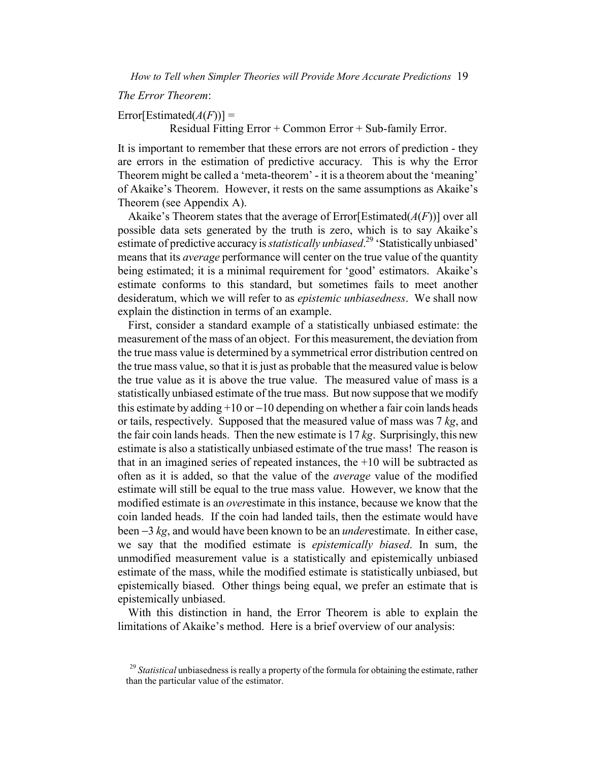*The Error Theorem*:

## $Error[Estimated(A(F))] =$

Residual Fitting Error + Common Error + Sub-family Error.

It is important to remember that these errors are not errors of prediction - they are errors in the estimation of predictive accuracy. This is why the Error Theorem might be called a 'meta-theorem' - it is a theorem about the 'meaning' of Akaike's Theorem. However, it rests on the same assumptions as Akaike's Theorem (see Appendix A).

Akaike's Theorem states that the average of  $Error[Estimated(A(F))]$  over all possible data sets generated by the truth is zero, which is to say Akaike's estimate of predictive accuracy is *statistically unbiased*.<sup>29</sup> 'Statistically unbiased' means that its *average* performance will center on the true value of the quantity being estimated; it is a minimal requirement for 'good' estimators. Akaike's estimate conforms to this standard, but sometimes fails to meet another desideratum, which we will refer to as *epistemic unbiasedness*. We shall now explain the distinction in terms of an example.

First, consider a standard example of a statistically unbiased estimate: the measurement of the mass of an object. For this measurement, the deviation from the true mass value is determined by a symmetrical error distribution centred on the true mass value, so that it is just as probable that the measured value is below the true value as it is above the true value. The measured value of mass is a statistically unbiased estimate of the true mass. But now suppose that we modify this estimate by adding +10 or −10 depending on whether a fair coin lands heads or tails, respectively. Supposed that the measured value of mass was 7 *kg*, and the fair coin lands heads. Then the new estimate is 17 *kg*. Surprisingly, this new estimate is also a statistically unbiased estimate of the true mass! The reason is that in an imagined series of repeated instances, the  $+10$  will be subtracted as often as it is added, so that the value of the *average* value of the modified estimate will still be equal to the true mass value. However, we know that the modified estimate is an *over*estimate in this instance, because we know that the coin landed heads. If the coin had landed tails, then the estimate would have been −3 *kg*, and would have been known to be an *under*estimate. In either case, we say that the modified estimate is *epistemically biased*. In sum, the unmodified measurement value is a statistically and epistemically unbiased estimate of the mass, while the modified estimate is statistically unbiased, but epistemically biased. Other things being equal, we prefer an estimate that is epistemically unbiased.

With this distinction in hand, the Error Theorem is able to explain the limitations of Akaike's method. Here is a brief overview of our analysis:

<sup>&</sup>lt;sup>29</sup> *Statistical* unbiasedness is really a property of the formula for obtaining the estimate, rather than the particular value of the estimator.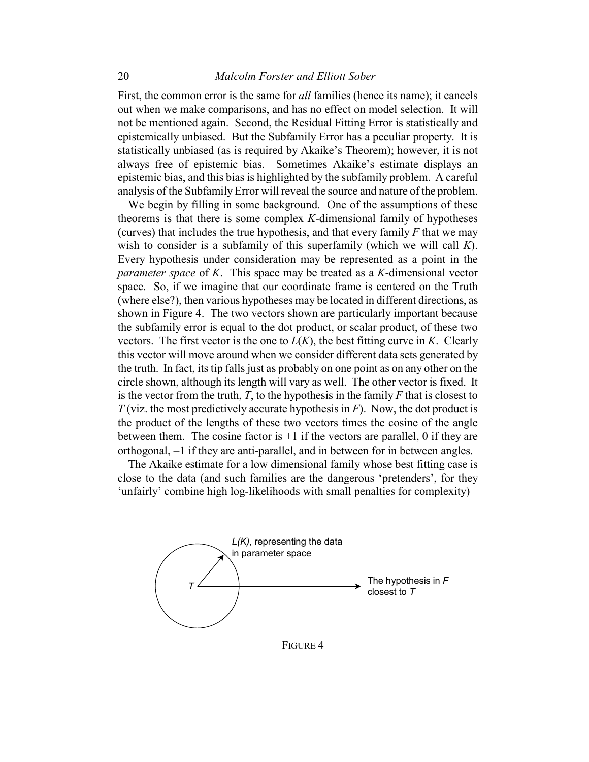First, the common error is the same for *all* families (hence its name); it cancels out when we make comparisons, and has no effect on model selection. It will not be mentioned again. Second, the Residual Fitting Error is statistically and epistemically unbiased. But the Subfamily Error has a peculiar property. It is statistically unbiased (as is required by Akaike's Theorem); however, it is not always free of epistemic bias. Sometimes Akaike's estimate displays an epistemic bias, and this bias is highlighted by the subfamily problem. A careful analysis of the Subfamily Error will reveal the source and nature of the problem.

We begin by filling in some background. One of the assumptions of these theorems is that there is some complex *K*-dimensional family of hypotheses (curves) that includes the true hypothesis, and that every family *F* that we may wish to consider is a subfamily of this superfamily (which we will call *K*). Every hypothesis under consideration may be represented as a point in the *parameter space* of *K*. This space may be treated as a *K*-dimensional vector space. So, if we imagine that our coordinate frame is centered on the Truth (where else?), then various hypotheses may be located in different directions, as shown in Figure 4. The two vectors shown are particularly important because the subfamily error is equal to the dot product, or scalar product, of these two vectors. The first vector is the one to  $L(K)$ , the best fitting curve in  $K$ . Clearly this vector will move around when we consider different data sets generated by the truth. In fact, its tip falls just as probably on one point as on any other on the circle shown, although its length will vary as well. The other vector is fixed. It is the vector from the truth, *T*, to the hypothesis in the family *F* that is closest to *T* (viz. the most predictively accurate hypothesis in *F*). Now, the dot product is the product of the lengths of these two vectors times the cosine of the angle between them. The cosine factor is  $+1$  if the vectors are parallel, 0 if they are orthogonal, −1 if they are anti-parallel, and in between for in between angles.

The Akaike estimate for a low dimensional family whose best fitting case is close to the data (and such families are the dangerous 'pretenders', for they 'unfairly' combine high log-likelihoods with small penalties for complexity)

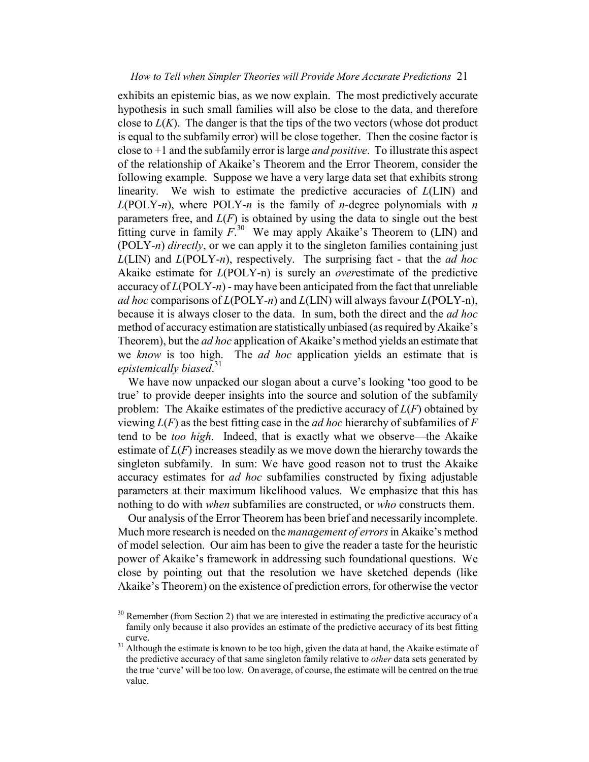exhibits an epistemic bias, as we now explain. The most predictively accurate hypothesis in such small families will also be close to the data, and therefore close to *L*(*K*). The danger is that the tips of the two vectors (whose dot product is equal to the subfamily error) will be close together. Then the cosine factor is close to +1 and the subfamily error is large *and positive*. To illustrate this aspect of the relationship of Akaike's Theorem and the Error Theorem, consider the following example. Suppose we have a very large data set that exhibits strong linearity. We wish to estimate the predictive accuracies of *L*(LIN) and  $L(POLY-n)$ , where POLY-*n* is the family of *n*-degree polynomials with *n* parameters free, and *L*(*F*) is obtained by using the data to single out the best fitting curve in family  $F^{30}$ . We may apply Akaike's Theorem to (LIN) and (POLY-*n*) *directly*, or we can apply it to the singleton families containing just *L*(LIN) and *L*(POLY-*n*), respectively. The surprising fact - that the *ad hoc*  Akaike estimate for *L*(POLY-n) is surely an *over*estimate of the predictive accuracy of *L*(POLY-*n*) - may have been anticipated from the fact that unreliable *ad hoc* comparisons of *L*(POLY-*n*) and *L*(LIN) will always favour *L*(POLY-n), because it is always closer to the data. In sum, both the direct and the *ad hoc*  method of accuracy estimation are statistically unbiased (as required by Akaike's Theorem), but the *ad hoc* application of Akaike's method yields an estimate that we *know* is too high. The *ad hoc* application yields an estimate that is *epistemically biased*. 31

We have now unpacked our slogan about a curve's looking 'too good to be true' to provide deeper insights into the source and solution of the subfamily problem: The Akaike estimates of the predictive accuracy of *L*(*F*) obtained by viewing *L*(*F*) as the best fitting case in the *ad hoc* hierarchy of subfamilies of *F*  tend to be *too high*. Indeed, that is exactly what we observe—the Akaike estimate of *L*(*F*) increases steadily as we move down the hierarchy towards the singleton subfamily. In sum: We have good reason not to trust the Akaike accuracy estimates for *ad hoc* subfamilies constructed by fixing adjustable parameters at their maximum likelihood values. We emphasize that this has nothing to do with *when* subfamilies are constructed, or *who* constructs them.

Our analysis of the Error Theorem has been brief and necessarily incomplete. Much more research is needed on the *management of errors* in Akaike's method of model selection. Our aim has been to give the reader a taste for the heuristic power of Akaike's framework in addressing such foundational questions. We close by pointing out that the resolution we have sketched depends (like Akaike's Theorem) on the existence of prediction errors, for otherwise the vector

 $30$  Remember (from Section 2) that we are interested in estimating the predictive accuracy of a family only because it also provides an estimate of the predictive accuracy of its best fitting curve.<br><sup>31</sup> Although the estimate is known to be too high, given the data at hand, the Akaike estimate of

the predictive accuracy of that same singleton family relative to *other* data sets generated by the true 'curve' will be too low. On average, of course, the estimate will be centred on the true value.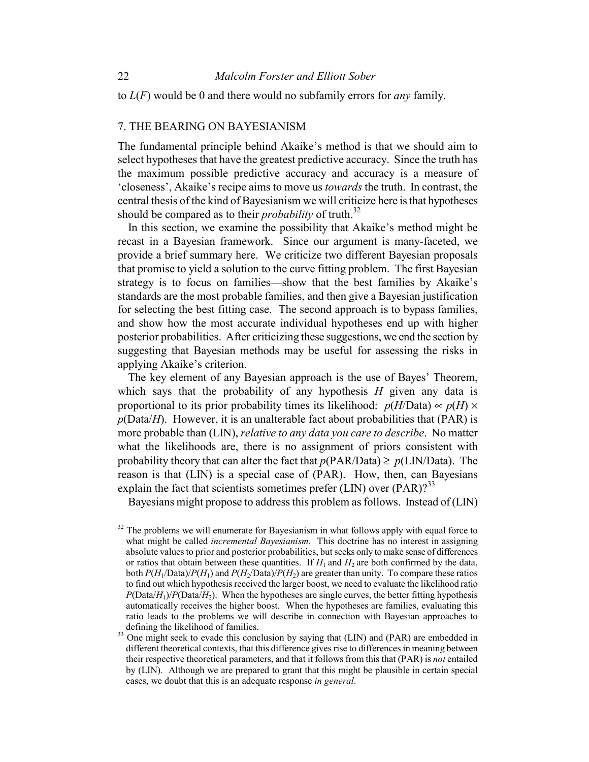to *L*(*F*) would be 0 and there would no subfamily errors for *any* family.

## 7. THE BEARING ON BAYESIANISM

The fundamental principle behind Akaike's method is that we should aim to select hypotheses that have the greatest predictive accuracy. Since the truth has the maximum possible predictive accuracy and accuracy is a measure of ëclosenessí, Akaikeís recipe aims to move us *towards* the truth. In contrast, the central thesis of the kind of Bayesianism we will criticize here is that hypotheses should be compared as to their *probability* of truth.<sup>32</sup>

In this section, we examine the possibility that Akaike's method might be recast in a Bayesian framework. Since our argument is many-faceted, we provide a brief summary here. We criticize two different Bayesian proposals that promise to yield a solution to the curve fitting problem. The first Bayesian strategy is to focus on families—show that the best families by Akaike's standards are the most probable families, and then give a Bayesian justification for selecting the best fitting case. The second approach is to bypass families, and show how the most accurate individual hypotheses end up with higher posterior probabilities. After criticizing these suggestions, we end the section by suggesting that Bayesian methods may be useful for assessing the risks in applying Akaike's criterion.

The key element of any Bayesian approach is the use of Bayes' Theorem, which says that the probability of any hypothesis *H* given any data is proportional to its prior probability times its likelihood:  $p(H/\text{Data}) \propto p(H) \times$ *p*(Data/*H*). However, it is an unalterable fact about probabilities that (PAR) is more probable than (LIN), *relative to any data you care to describe*. No matter what the likelihoods are, there is no assignment of priors consistent with probability theory that can alter the fact that  $p(PAR/Data) \ge p(LIN/Data)$ . The reason is that (LIN) is a special case of (PAR). How, then, can Bayesians explain the fact that scientists sometimes prefer (LIN) over  $(PAR)$ ?<sup>33</sup>

Bayesians might propose to address this problem as follows. Instead of (LIN)

 $32$  The problems we will enumerate for Bayesianism in what follows apply with equal force to what might be called *incremental Bayesianism*. This doctrine has no interest in assigning absolute values to prior and posterior probabilities, but seeks only to make sense of differences or ratios that obtain between these quantities. If  $H_1$  and  $H_2$  are both confirmed by the data, both  $P(H_1/\text{Data})/P(H_1)$  and  $P(H_2/\text{Data})/P(H_2)$  are greater than unity. To compare these ratios to find out which hypothesis received the larger boost, we need to evaluate the likelihood ratio  $P(\text{Data}/H_1)/P(\text{Data}/H_2)$ . When the hypotheses are single curves, the better fitting hypothesis automatically receives the higher boost. When the hypotheses are families, evaluating this ratio leads to the problems we will describe in connection with Bayesian approaches to

defining the likelihood of families.<br><sup>33</sup> One might seek to evade this conclusion by saying that (LIN) and (PAR) are embedded in different theoretical contexts, that this difference gives rise to differences in meaning between their respective theoretical parameters, and that it follows from this that (PAR) is *not* entailed by (LIN). Although we are prepared to grant that this might be plausible in certain special cases, we doubt that this is an adequate response *in general*.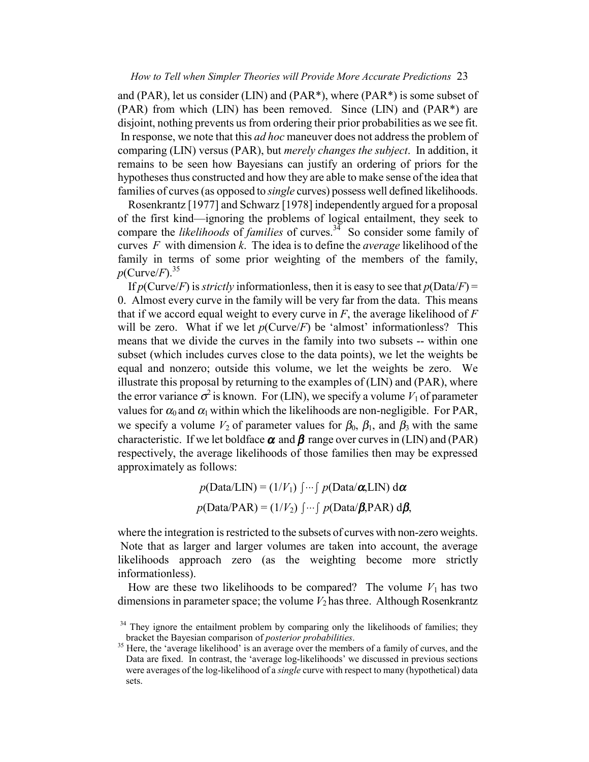and (PAR), let us consider (LIN) and (PAR\*), where (PAR\*) is some subset of (PAR) from which (LIN) has been removed. Since (LIN) and (PAR\*) are disjoint, nothing prevents us from ordering their prior probabilities as we see fit. In response, we note that this *ad hoc* maneuver does not address the problem of comparing (LIN) versus (PAR), but *merely changes the subject*. In addition, it remains to be seen how Bayesians can justify an ordering of priors for the hypotheses thus constructed and how they are able to make sense of the idea that families of curves (as opposed to *single* curves) possess well defined likelihoods.

Rosenkrantz [1977] and Schwarz [1978] independently argued for a proposal of the first kind—ignoring the problems of logical entailment, they seek to compare the *likelihoods* of *families* of curves.34 So consider some family of curves *F* with dimension *k*. The idea is to define the *average* likelihood of the family in terms of some prior weighting of the members of the family,  $p$ (Curve/*F*).<sup>35</sup>

If  $p$ (Curve/*F*) is *strictly* informationless, then it is easy to see that  $p$ (Data/*F*) = 0. Almost every curve in the family will be very far from the data. This means that if we accord equal weight to every curve in  $F$ , the average likelihood of  $F$ will be zero. What if we let  $p(\text{Curve}/F)$  be 'almost' informationless? This means that we divide the curves in the family into two subsets -- within one subset (which includes curves close to the data points), we let the weights be equal and nonzero; outside this volume, we let the weights be zero. We illustrate this proposal by returning to the examples of (LIN) and (PAR), where the error variance  $\sigma^2$  is known. For (LIN), we specify a volume  $V_1$  of parameter values for  $\alpha_0$  and  $\alpha_1$  within which the likelihoods are non-negligible. For PAR, we specify a volume  $V_2$  of parameter values for  $\beta_0$ ,  $\beta_1$ , and  $\beta_3$  with the same characteristic. If we let boldface  $\alpha$  and  $\beta$  range over curves in (LIN) and (PAR) respectively, the average likelihoods of those families then may be expressed approximately as follows:

> $p(\text{Data/LIN}) = (1/V_1)$   $\cdots$   $p(\text{Data}/\alpha, \text{LIN})$  d $\alpha$  $p(Data/PAR) = (1/V_2)$  [...]  $p(Data/\beta,PAR)$  d $\beta$ ,

where the integration is restricted to the subsets of curves with non-zero weights. Note that as larger and larger volumes are taken into account, the average likelihoods approach zero (as the weighting become more strictly informationless).

How are these two likelihoods to be compared? The volume  $V_1$  has two dimensions in parameter space; the volume  $V_2$  has three. Although Rosenkrantz

 $34$  They ignore the entailment problem by comparing only the likelihoods of families; they bracket the Bayesian comparison of *posterior probabilities*.

<sup>&</sup>lt;sup>35</sup> Here, the 'average likelihood' is an average over the members of a family of curves, and the Data are fixed. In contrast, the 'average log-likelihoods' we discussed in previous sections were averages of the log-likelihood of a *single* curve with respect to many (hypothetical) data sets.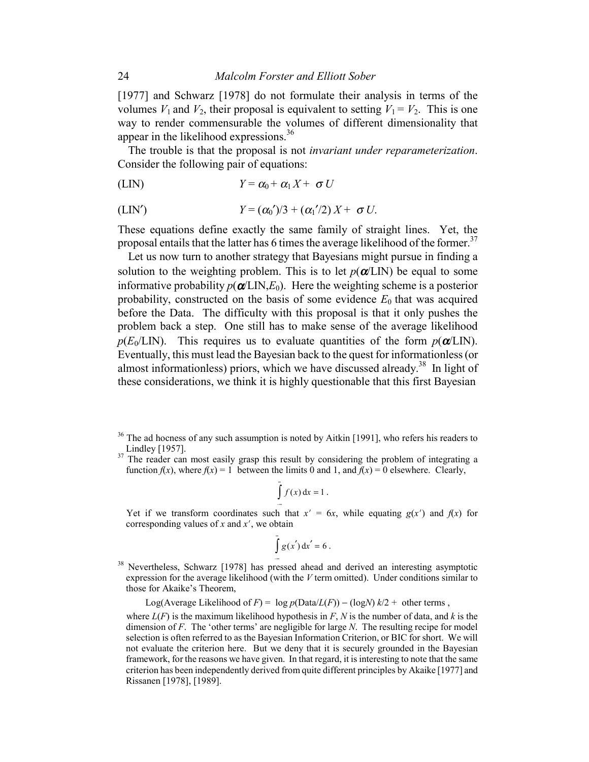[1977] and Schwarz [1978] do not formulate their analysis in terms of the volumes  $V_1$  and  $V_2$ , their proposal is equivalent to setting  $V_1 = V_2$ . This is one way to render commensurable the volumes of different dimensionality that appear in the likelihood expressions.<sup>36</sup>

The trouble is that the proposal is not *invariant under reparameterization*. Consider the following pair of equations:

$$
(LIN) \t Y = \alpha_0 + \alpha_1 X + \sigma U
$$

$$
(LIN') \tY = (\alpha_0')/3 + (\alpha_1'/2) X + \sigma U.
$$

These equations define exactly the same family of straight lines. Yet, the proposal entails that the latter has 6 times the average likelihood of the former.<sup>37</sup>

Let us now turn to another strategy that Bayesians might pursue in finding a solution to the weighting problem. This is to let  $p(\alpha/LIN)$  be equal to some informative probability  $p(\mathbf{\alpha}/\text{LIN},E_0)$ . Here the weighting scheme is a posterior probability, constructed on the basis of some evidence  $E_0$  that was acquired before the Data. The difficulty with this proposal is that it only pushes the problem back a step. One still has to make sense of the average likelihood  $p(E_0/LIN)$ . This requires us to evaluate quantities of the form  $p(\alpha/LIN)$ . Eventually, this must lead the Bayesian back to the quest for informationless (or almost informationless) priors, which we have discussed already.<sup>38</sup> In light of these considerations, we think it is highly questionable that this first Bayesian

$$
\int_{-\infty}^{\infty} f(x) \, \mathrm{d}x = 1 \; .
$$

Yet if we transform coordinates such that  $x' = 6x$ , while equating  $g(x')$  and  $f(x)$  for corresponding values of  $x$  and  $x'$ , we obtain

$$
\int_{-\infty}^{\infty} g(x') dx' = 6.
$$

<sup>38</sup> Nevertheless, Schwarz [1978] has pressed ahead and derived an interesting asymptotic expression for the average likelihood (with the *V* term omitted). Under conditions similar to those for Akaike's Theorem,

Log(Average Likelihood of  $F$ ) =  $\log p(\text{Data}/L(F)) - (\log N) k/2 + \text{other terms}$ , where  $L(F)$  is the maximum likelihood hypothesis in  $F$ ,  $N$  is the number of data, and  $k$  is the dimension of *F*. The 'other terms' are negligible for large *N*. The resulting recipe for model selection is often referred to as the Bayesian Information Criterion, or BIC for short. We will not evaluate the criterion here. But we deny that it is securely grounded in the Bayesian framework, for the reasons we have given. In that regard, it is interesting to note that the same criterion has been independently derived from quite different principles by Akaike [1977] and Rissanen [1978], [1989].

 $36$  The ad hocness of any such assumption is noted by Aitkin [1991], who refers his readers to Lindley [1957].<br><sup>37</sup> The reader can most easily grasp this result by considering the problem of integrating a

function  $f(x)$ , where  $f(x) = 1$  between the limits 0 and 1, and  $f(x) = 0$  elsewhere. Clearly,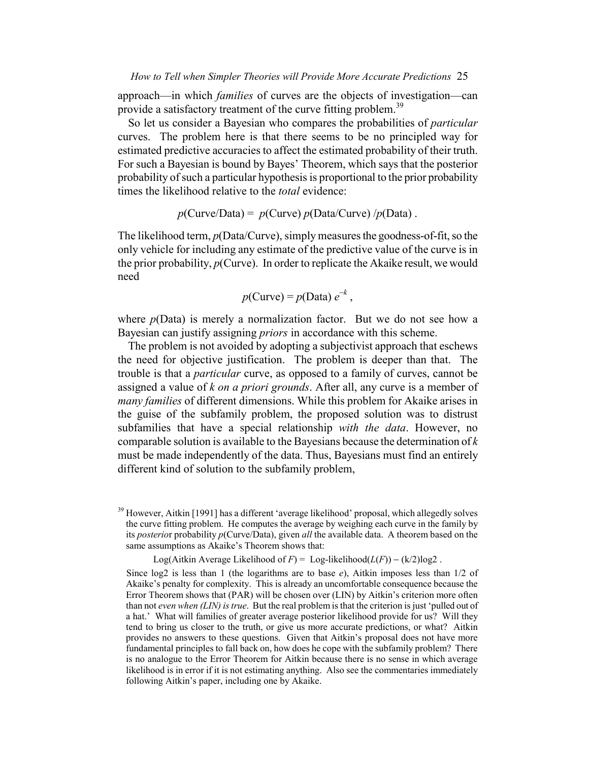approach—in which *families* of curves are the objects of investigation—can provide a satisfactory treatment of the curve fitting problem.<sup>39</sup>

So let us consider a Bayesian who compares the probabilities of *particular*  curves. The problem here is that there seems to be no principled way for estimated predictive accuracies to affect the estimated probability of their truth. For such a Bayesian is bound by Bayes' Theorem, which says that the posterior probability of such a particular hypothesis is proportional to the prior probability times the likelihood relative to the *total* evidence:

 $p$ (Curve/Data) =  $p$ (Curve)  $p$ (Data/Curve) / $p$ (Data).

The likelihood term, *p*(Data/Curve), simply measures the goodness-of-fit, so the only vehicle for including any estimate of the predictive value of the curve is in the prior probability, *p*(Curve). In order to replicate the Akaike result, we would need

$$
p
$$
(Curve) =  $p$ (Data)  $e^{-k}$ ,

where *p*(Data) is merely a normalization factor. But we do not see how a Bayesian can justify assigning *priors* in accordance with this scheme.

The problem is not avoided by adopting a subjectivist approach that eschews the need for objective justification. The problem is deeper than that. The trouble is that a *particular* curve, as opposed to a family of curves, cannot be assigned a value of *k on a priori grounds*. After all, any curve is a member of *many families* of different dimensions. While this problem for Akaike arises in the guise of the subfamily problem, the proposed solution was to distrust subfamilies that have a special relationship *with the data*. However, no comparable solution is available to the Bayesians because the determination of *k*  must be made independently of the data. Thus, Bayesians must find an entirely different kind of solution to the subfamily problem,

Log(Aitkin Average Likelihood of  $F$ ) = Log-likelihood( $L(F)$ ) – (k/2)log2.

 $39$  However, Aitkin [1991] has a different 'average likelihood' proposal, which allegedly solves the curve fitting problem. He computes the average by weighing each curve in the family by its *posterio*r probability *p*(Curve/Data), given *all* the available data. A theorem based on the same assumptions as Akaike's Theorem shows that:

Since log2 is less than 1 (the logarithms are to base *e*), Aitkin imposes less than 1/2 of Akaike's penalty for complexity. This is already an uncomfortable consequence because the Error Theorem shows that (PAR) will be chosen over (LIN) by Aitkin's criterion more often than not *even when (LIN) is true*. But the real problem is that the criterion is just 'pulled out of a hat.' What will families of greater average posterior likelihood provide for us? Will they tend to bring us closer to the truth, or give us more accurate predictions, or what? Aitkin provides no answers to these questions. Given that Aitkin's proposal does not have more fundamental principles to fall back on, how does he cope with the subfamily problem? There is no analogue to the Error Theorem for Aitkin because there is no sense in which average likelihood is in error if it is not estimating anything. Also see the commentaries immediately following Aitkin's paper, including one by Akaike.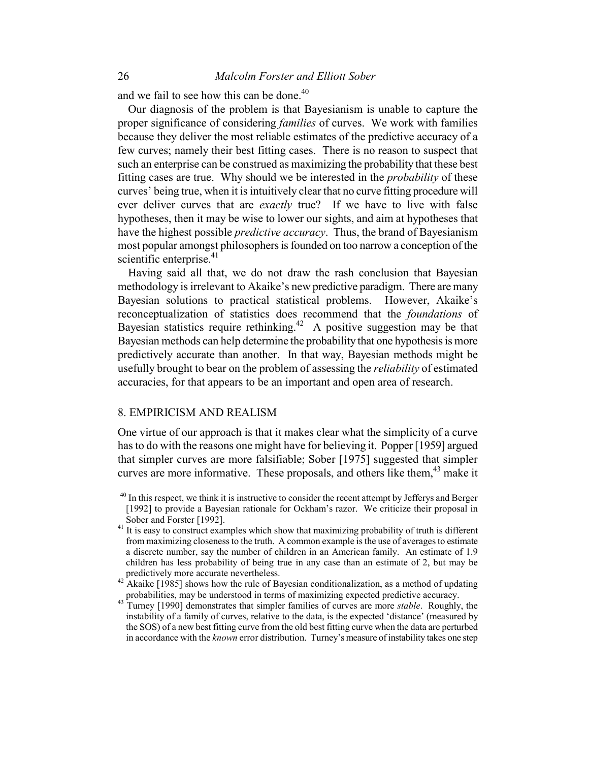and we fail to see how this can be done.<sup>40</sup>

Our diagnosis of the problem is that Bayesianism is unable to capture the proper significance of considering *families* of curves. We work with families because they deliver the most reliable estimates of the predictive accuracy of a few curves; namely their best fitting cases. There is no reason to suspect that such an enterprise can be construed as maximizing the probability that these best fitting cases are true. Why should we be interested in the *probability* of these curves' being true, when it is intuitively clear that no curve fitting procedure will ever deliver curves that are *exactly* true? If we have to live with false hypotheses, then it may be wise to lower our sights, and aim at hypotheses that have the highest possible *predictive accuracy*. Thus, the brand of Bayesianism most popular amongst philosophers is founded on too narrow a conception of the scientific enterprise.<sup>41</sup>

Having said all that, we do not draw the rash conclusion that Bayesian methodology is irrelevant to Akaike's new predictive paradigm. There are many Bayesian solutions to practical statistical problems. However, Akaike's reconceptualization of statistics does recommend that the *foundations* of Bayesian statistics require rethinking.<sup>42</sup> A positive suggestion may be that Bayesian methods can help determine the probability that one hypothesis is more predictively accurate than another. In that way, Bayesian methods might be usefully brought to bear on the problem of assessing the *reliability* of estimated accuracies, for that appears to be an important and open area of research.

# 8. EMPIRICISM AND REALISM

One virtue of our approach is that it makes clear what the simplicity of a curve has to do with the reasons one might have for believing it. Popper [1959] argued that simpler curves are more falsifiable; Sober [1975] suggested that simpler curves are more informative. These proposals, and others like them,<sup>43</sup> make it

 $40$  In this respect, we think it is instructive to consider the recent attempt by Jefferys and Berger [1992] to provide a Bayesian rationale for Ockham's razor. We criticize their proposal in Sober and Forster [1992].

<sup>&</sup>lt;sup>41</sup> It is easy to construct examples which show that maximizing probability of truth is different from maximizing closeness to the truth. A common example is the use of averages to estimate a discrete number, say the number of children in an American family. An estimate of 1.9 children has less probability of being true in any case than an estimate of 2, but may be predictively more accurate nevertheless.<br><sup>42</sup> Akaike [1985] shows how the rule of Bayesian conditionalization, as a method of updating

probabilities, may be understood in terms of maximizing expected predictive accuracy.<br><sup>43</sup> Turney [1990] demonstrates that simpler families of curves are more *stable*. Roughly, the

instability of a family of curves, relative to the data, is the expected 'distance' (measured by the SOS) of a new best fitting curve from the old best fitting curve when the data are perturbed in accordance with the *known* error distribution. Turney's measure of instability takes one step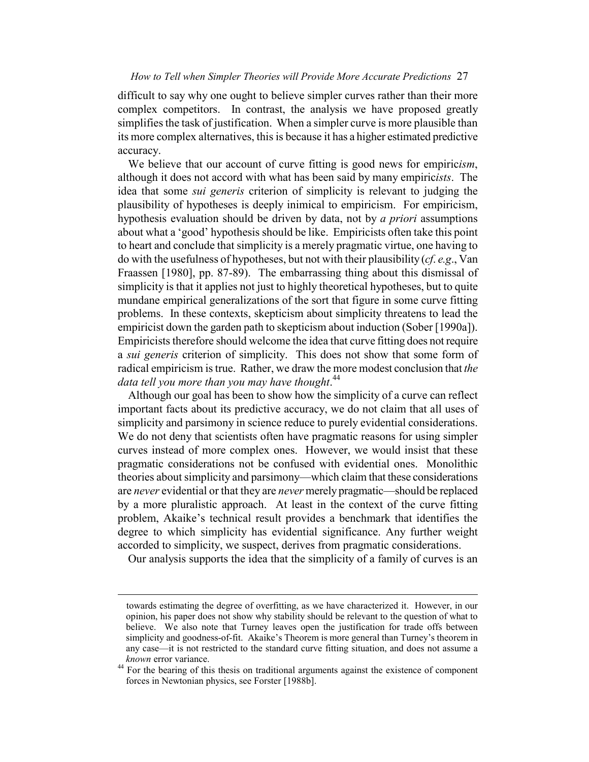difficult to say why one ought to believe simpler curves rather than their more complex competitors. In contrast, the analysis we have proposed greatly simplifies the task of justification. When a simpler curve is more plausible than its more complex alternatives, this is because it has a higher estimated predictive accuracy.

We believe that our account of curve fitting is good news for empiric*ism*, although it does not accord with what has been said by many empiric*ists*. The idea that some *sui generis* criterion of simplicity is relevant to judging the plausibility of hypotheses is deeply inimical to empiricism. For empiricism, hypothesis evaluation should be driven by data, not by *a priori* assumptions about what a 'good' hypothesis should be like. Empiricists often take this point to heart and conclude that simplicity is a merely pragmatic virtue, one having to do with the usefulness of hypotheses, but not with their plausibility (*cf*. *e.g*., Van Fraassen [1980], pp. 87-89). The embarrassing thing about this dismissal of simplicity is that it applies not just to highly theoretical hypotheses, but to quite mundane empirical generalizations of the sort that figure in some curve fitting problems. In these contexts, skepticism about simplicity threatens to lead the empiricist down the garden path to skepticism about induction (Sober [1990a]). Empiricists therefore should welcome the idea that curve fitting does not require a *sui generis* criterion of simplicity. This does not show that some form of radical empiricism is true. Rather, we draw the more modest conclusion that *the data tell you more than you may have thought*. 44

Although our goal has been to show how the simplicity of a curve can reflect important facts about its predictive accuracy, we do not claim that all uses of simplicity and parsimony in science reduce to purely evidential considerations. We do not deny that scientists often have pragmatic reasons for using simpler curves instead of more complex ones. However, we would insist that these pragmatic considerations not be confused with evidential ones. Monolithic theories about simplicity and parsimony—which claim that these considerations are *never* evidential or that they are *never* merely pragmatic—should be replaced by a more pluralistic approach. At least in the context of the curve fitting problem, Akaike's technical result provides a benchmark that identifies the degree to which simplicity has evidential significance. Any further weight accorded to simplicity, we suspect, derives from pragmatic considerations.

Our analysis supports the idea that the simplicity of a family of curves is an

 $\overline{a}$ 

towards estimating the degree of overfitting, as we have characterized it. However, in our opinion, his paper does not show why stability should be relevant to the question of what to believe. We also note that Turney leaves open the justification for trade offs between simplicity and goodness-of-fit. Akaike's Theorem is more general than Turney's theorem in any case—it is not restricted to the standard curve fitting situation, and does not assume a

*known* error variance.<br><sup>44</sup> For the bearing of this thesis on traditional arguments against the existence of component forces in Newtonian physics, see Forster [1988b].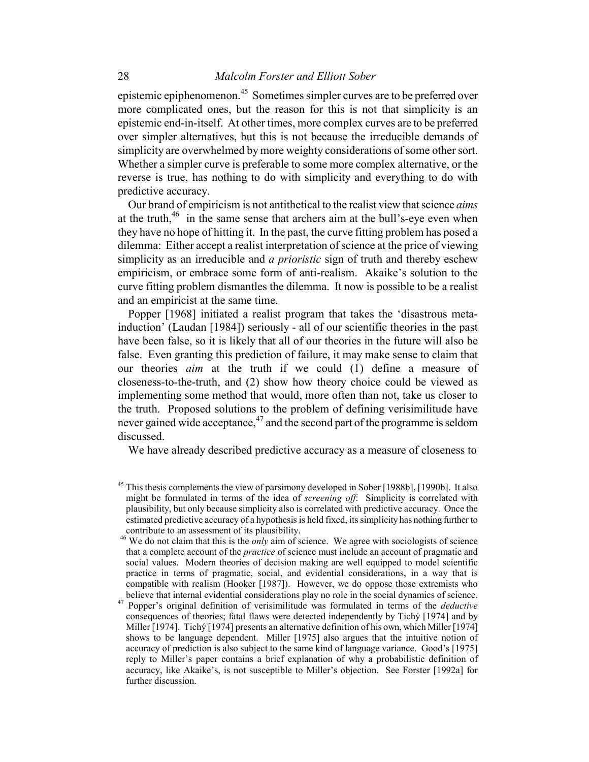epistemic epiphenomenon.<sup>45</sup> Sometimes simpler curves are to be preferred over more complicated ones, but the reason for this is not that simplicity is an epistemic end-in-itself. At other times, more complex curves are to be preferred over simpler alternatives, but this is not because the irreducible demands of simplicity are overwhelmed by more weighty considerations of some other sort. Whether a simpler curve is preferable to some more complex alternative, or the reverse is true, has nothing to do with simplicity and everything to do with predictive accuracy.

Our brand of empiricism is not antithetical to the realist view that science *aims*  at the truth, $46$  in the same sense that archers aim at the bull's-eye even when they have no hope of hitting it. In the past, the curve fitting problem has posed a dilemma: Either accept a realist interpretation of science at the price of viewing simplicity as an irreducible and *a prioristic* sign of truth and thereby eschew empiricism, or embrace some form of anti-realism. Akaike's solution to the curve fitting problem dismantles the dilemma. It now is possible to be a realist and an empiricist at the same time.

Popper [1968] initiated a realist program that takes the 'disastrous metainduction<sup>'</sup> (Laudan [1984]) seriously - all of our scientific theories in the past have been false, so it is likely that all of our theories in the future will also be false. Even granting this prediction of failure, it may make sense to claim that our theories *aim* at the truth if we could (1) define a measure of closeness-to-the-truth, and (2) show how theory choice could be viewed as implementing some method that would, more often than not, take us closer to the truth. Proposed solutions to the problem of defining verisimilitude have never gained wide acceptance,  $47$  and the second part of the programme is seldom discussed.

We have already described predictive accuracy as a measure of closeness to

<sup>&</sup>lt;sup>45</sup> This thesis complements the view of parsimony developed in Sober [1988b], [1990b]. It also might be formulated in terms of the idea of *screening off*: Simplicity is correlated with plausibility, but only because simplicity also is correlated with predictive accuracy. Once the estimated predictive accuracy of a hypothesis is held fixed, its simplicity has nothing further to contribute to an assessment of its plausibility.

<sup>&</sup>lt;sup>46</sup> We do not claim that this is the *only* aim of science. We agree with sociologists of science that a complete account of the *practice* of science must include an account of pragmatic and social values. Modern theories of decision making are well equipped to model scientific practice in terms of pragmatic, social, and evidential considerations, in a way that is compatible with realism (Hooker [1987]). However, we do oppose those extremists who believe that internal evidential considerations play no role in the social dynamics of science.

believe that internal evidential considerations play no role in the social dynamics of science. 47 Popperís original definition of verisimilitude was formulated in terms of the *deductive*  consequences of theories; fatal flaws were detected independently by Tichý [1974] and by Miller [1974]. Tichý [1974] presents an alternative definition of his own, which Miller [1974] shows to be language dependent. Miller [1975] also argues that the intuitive notion of accuracy of prediction is also subject to the same kind of language variance. Good's [1975] reply to Miller's paper contains a brief explanation of why a probabilistic definition of accuracy, like Akaike's, is not susceptible to Miller's objection. See Forster [1992a] for further discussion.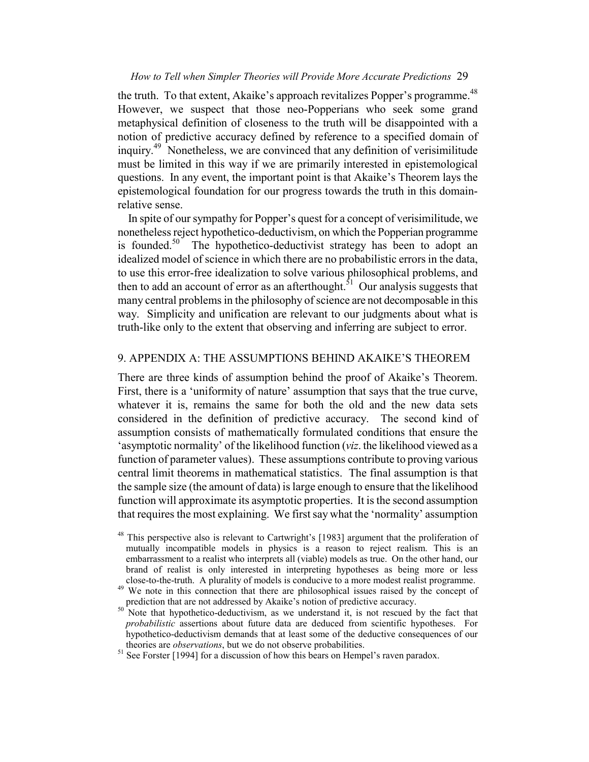the truth. To that extent, Akaike's approach revitalizes Popper's programme.<sup>48</sup> However, we suspect that those neo-Popperians who seek some grand metaphysical definition of closeness to the truth will be disappointed with a notion of predictive accuracy defined by reference to a specified domain of inquiry.49 Nonetheless, we are convinced that any definition of verisimilitude must be limited in this way if we are primarily interested in epistemological questions. In any event, the important point is that Akaike's Theorem lays the epistemological foundation for our progress towards the truth in this domainrelative sense.

In spite of our sympathy for Popper's quest for a concept of verisimilitude, we nonetheless reject hypothetico-deductivism, on which the Popperian programme is founded.<sup>50</sup> The hypothetico-deductivist strategy has been to adopt an idealized model of science in which there are no probabilistic errors in the data, to use this error-free idealization to solve various philosophical problems, and then to add an account of error as an afterthought.<sup> $51$ </sup> Our analysis suggests that many central problems in the philosophy of science are not decomposable in this way. Simplicity and unification are relevant to our judgments about what is truth-like only to the extent that observing and inferring are subject to error.

#### 9. APPENDIX A: THE ASSUMPTIONS BEHIND AKAIKE'S THEOREM

There are three kinds of assumption behind the proof of Akaike's Theorem. First, there is a 'uniformity of nature' assumption that says that the true curve, whatever it is, remains the same for both the old and the new data sets considered in the definition of predictive accuracy. The second kind of assumption consists of mathematically formulated conditions that ensure the ëasymptotic normalityí of the likelihood function (*viz*. the likelihood viewed as a function of parameter values). These assumptions contribute to proving various central limit theorems in mathematical statistics. The final assumption is that the sample size (the amount of data) is large enough to ensure that the likelihood function will approximate its asymptotic properties. It is the second assumption that requires the most explaining. We first say what the 'normality' assumption

 $48$  This perspective also is relevant to Cartwright's [1983] argument that the proliferation of mutually incompatible models in physics is a reason to reject realism. This is an embarrassment to a realist who interprets all (viable) models as true. On the other hand, our brand of realist is only interested in interpreting hypotheses as being more or less

close-to-the-truth. A plurality of models is conducive to a more modest realist programme.<br><sup>49</sup> We note in this connection that there are philosophical issues raised by the concept of prediction that are not addressed by A

prediction that are not addressed by Akaike 5 notion of predictive accuracy.  $\frac{1}{2}$  Note that hypothetico-deductivism, as we understand it, is not rescued by the fact that *probabilistic* assertions about future data are deduced from scientific hypotheses. For hypothetico-deductivism demands that at least some of the deductive consequences of our theories are *observations*, but we do not observe probabilities.<br><sup>51</sup> See Forster [1994] for a discussion of how this bears on Hempel's raven paradox.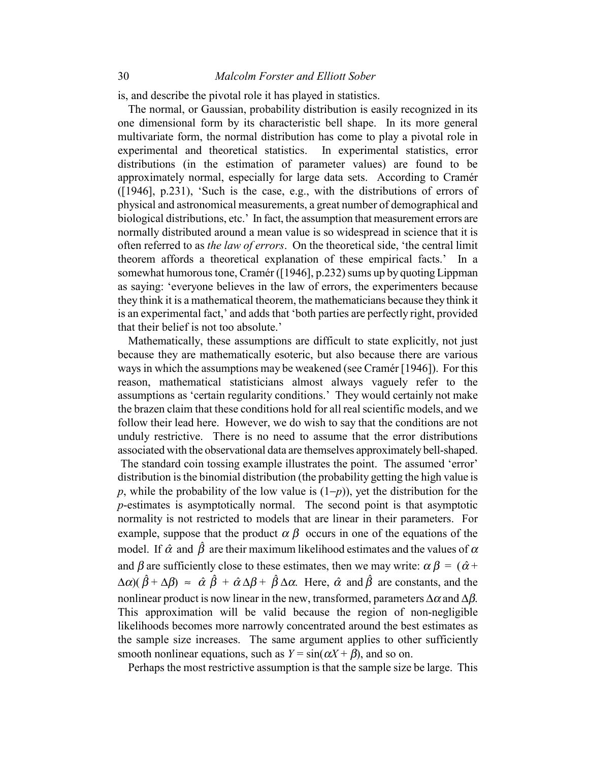is, and describe the pivotal role it has played in statistics.

The normal, or Gaussian, probability distribution is easily recognized in its one dimensional form by its characteristic bell shape. In its more general multivariate form, the normal distribution has come to play a pivotal role in experimental and theoretical statistics. In experimental statistics, error distributions (in the estimation of parameter values) are found to be approximately normal, especially for large data sets. According to Cramér  $(1946)$ , p.231), 'Such is the case, e.g., with the distributions of errors of physical and astronomical measurements, a great number of demographical and biological distributions, etc.<sup>7</sup> In fact, the assumption that measurement errors are normally distributed around a mean value is so widespread in science that it is often referred to as *the law of errors*. On the theoretical side, 'the central limit theorem affords a theoretical explanation of these empirical facts.' In a somewhat humorous tone, Cramér ([1946], p.232) sums up by quoting Lippman as saying: ëeveryone believes in the law of errors, the experimenters because they think it is a mathematical theorem, the mathematicians because they think it is an experimental fact,' and adds that 'both parties are perfectly right, provided that their belief is not too absolute.

Mathematically, these assumptions are difficult to state explicitly, not just because they are mathematically esoteric, but also because there are various ways in which the assumptions may be weakened (see Cramér [1946]). For this reason, mathematical statisticians almost always vaguely refer to the assumptions as 'certain regularity conditions.' They would certainly not make the brazen claim that these conditions hold for all real scientific models, and we follow their lead here. However, we do wish to say that the conditions are not unduly restrictive. There is no need to assume that the error distributions associated with the observational data are themselves approximately bell-shaped. The standard coin tossing example illustrates the point. The assumed 'error' distribution is the binomial distribution (the probability getting the high value is *p*, while the probability of the low value is  $(1-p)$ , yet the distribution for the *p*-estimates is asymptotically normal. The second point is that asymptotic normality is not restricted to models that are linear in their parameters. For example, suppose that the product  $\alpha \beta$  occurs in one of the equations of the model. If  $\hat{\alpha}$  and  $\hat{\beta}$  are their maximum likelihood estimates and the values of  $\alpha$ and  $\beta$  are sufficiently close to these estimates, then we may write:  $\alpha \beta = (\hat{\alpha} + \hat{\beta})$  $(\Delta \alpha)(\hat{\beta} + \Delta \beta) \approx \hat{\alpha} \hat{\beta} + \hat{\alpha} \Delta \beta + \hat{\beta} \Delta \alpha$ . Here,  $\hat{\alpha}$  and  $\hat{\beta}$  are constants, and the nonlinear product is now linear in the new, transformed, parameters  $\Delta \alpha$  and  $\Delta \beta$ . This approximation will be valid because the region of non-negligible likelihoods becomes more narrowly concentrated around the best estimates as the sample size increases. The same argument applies to other sufficiently smooth nonlinear equations, such as  $Y = \sin(\alpha X + \beta)$ , and so on.

Perhaps the most restrictive assumption is that the sample size be large. This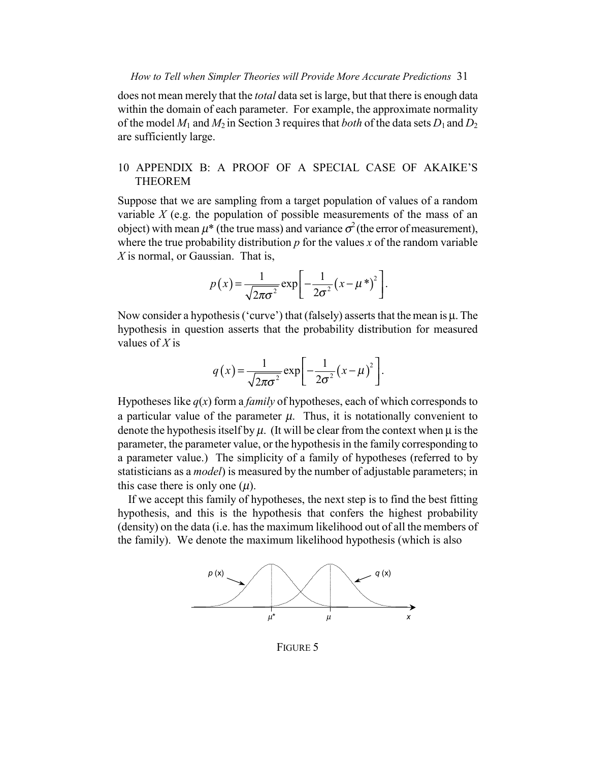does not mean merely that the *total* data set is large, but that there is enough data within the domain of each parameter. For example, the approximate normality of the model  $M_1$  and  $M_2$  in Section 3 requires that *both* of the data sets  $D_1$  and  $D_2$ are sufficiently large.

# 10 APPENDIX B: A PROOF OF A SPECIAL CASE OF AKAIKE'S THEOREM

Suppose that we are sampling from a target population of values of a random variable *X* (e.g. the population of possible measurements of the mass of an object) with mean  $\mu^*$  (the true mass) and variance  $\sigma^2$  (the error of measurement). where the true probability distribution  $p$  for the values  $x$  of the random variable *X* is normal, or Gaussian. That is,

$$
p(x) = \frac{1}{\sqrt{2\pi\sigma^2}} \exp\left[-\frac{1}{2\sigma^2}(x-\mu^*)^2\right].
$$

Now consider a hypothesis ('curve') that (falsely) asserts that the mean is  $\mu$ . The hypothesis in question asserts that the probability distribution for measured values of *X* is

$$
q(x) = \frac{1}{\sqrt{2\pi\sigma^2}} \exp \left[-\frac{1}{2\sigma^2} (x - \mu)^2\right].
$$

Hypotheses like *q*(*x*) form a *family* of hypotheses, each of which corresponds to a particular value of the parameter  $\mu$ . Thus, it is notationally convenient to denote the hypothesis itself by  $\mu$ . (It will be clear from the context when  $\mu$  is the parameter, the parameter value, or the hypothesis in the family corresponding to a parameter value.) The simplicity of a family of hypotheses (referred to by statisticians as a *model*) is measured by the number of adjustable parameters; in this case there is only one  $(\mu)$ .

If we accept this family of hypotheses, the next step is to find the best fitting hypothesis, and this is the hypothesis that confers the highest probability (density) on the data (i.e. has the maximum likelihood out of all the members of the family). We denote the maximum likelihood hypothesis (which is also



FIGURE 5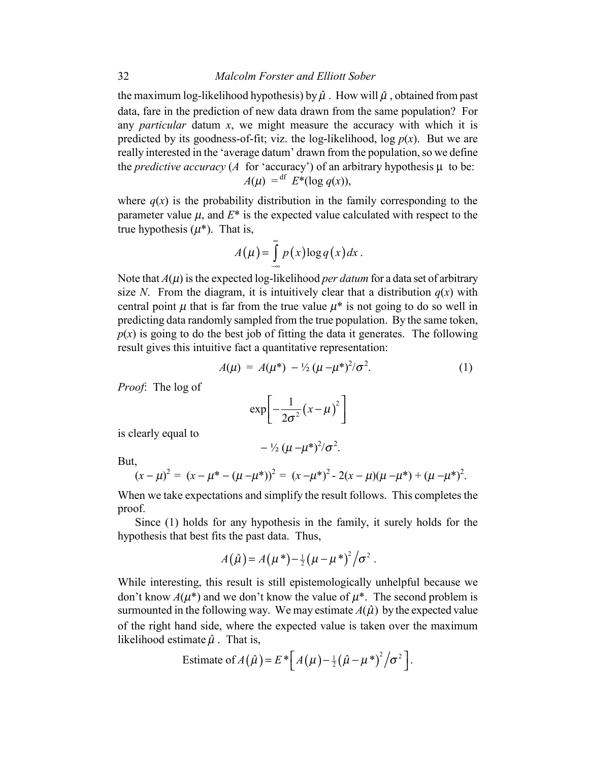the maximum log-likelihood hypothesis) by  $\hat{\mu}$ . How will  $\hat{\mu}$ , obtained from past data, fare in the prediction of new data drawn from the same population? For any *particular* datum *x*, we might measure the accuracy with which it is predicted by its goodness-of-fit; viz. the log-likelihood, log  $p(x)$ . But we are really interested in the 'average datum' drawn from the population, so we define the *predictive accuracy* ( $A$  for 'accuracy') of an arbitrary hypothesis  $\mu$  to be:  $A(u) =$ <sup>df</sup>  $E^*(\log q(x))$ ,

where  $q(x)$  is the probability distribution in the family corresponding to the parameter value  $\mu$ , and  $E^*$  is the expected value calculated with respect to the true hypothesis  $(\mu^*)$ . That is,

$$
A(\mu) = \int_{-\infty}^{\infty} p(x) \log q(x) dx.
$$

Note that  $A(\mu)$  is the expected log-likelihood *per datum* for a data set of arbitrary size *N*. From the diagram, it is intuitively clear that a distribution  $q(x)$  with central point  $\mu$  that is far from the true value  $\mu^*$  is not going to do so well in predicting data randomly sampled from the true population. By the same token,  $p(x)$  is going to do the best job of fitting the data it generates. The following result gives this intuitive fact a quantitative representation:

$$
A(\mu) = A(\mu^*) - \frac{1}{2}(\mu - \mu^*)^2/\sigma^2. \tag{1}
$$

*Proof*: The log of

$$
\exp\left[-\frac{1}{2\sigma^2}(x-\mu)^2\right]
$$

is clearly equal to

$$
- \frac{1}{2} (\mu - \mu^*)^2 / \sigma^2.
$$

But,

$$
(x - \mu)^2 = (x - \mu^* - (\mu - \mu^*))^2 = (x - \mu^*)^2 - 2(x - \mu)(\mu - \mu^*) + (\mu - \mu^*)^2.
$$

When we take expectations and simplify the result follows. This completes the proof.

Since (1) holds for any hypothesis in the family, it surely holds for the hypothesis that best fits the past data. Thus,

$$
A(\hat{\mu}) = A(\mu^*) - \frac{1}{2}(\mu - \mu^*)^2 / \sigma^2.
$$

While interesting, this result is still epistemologically unhelpful because we don't know  $A(\mu^*)$  and we don't know the value of  $\mu^*$ . The second problem is surmounted in the following way. We may estimate  $A(\hat{\mu})$  by the expected value of the right hand side, where the expected value is taken over the maximum likelihood estimate  $\hat{\mu}$ . That is,

Estimate of 
$$
A(\hat{\mu}) = E^* \left[ A(\mu) - \frac{1}{2} (\hat{\mu} - \mu^*)^2 / \sigma^2 \right]
$$
.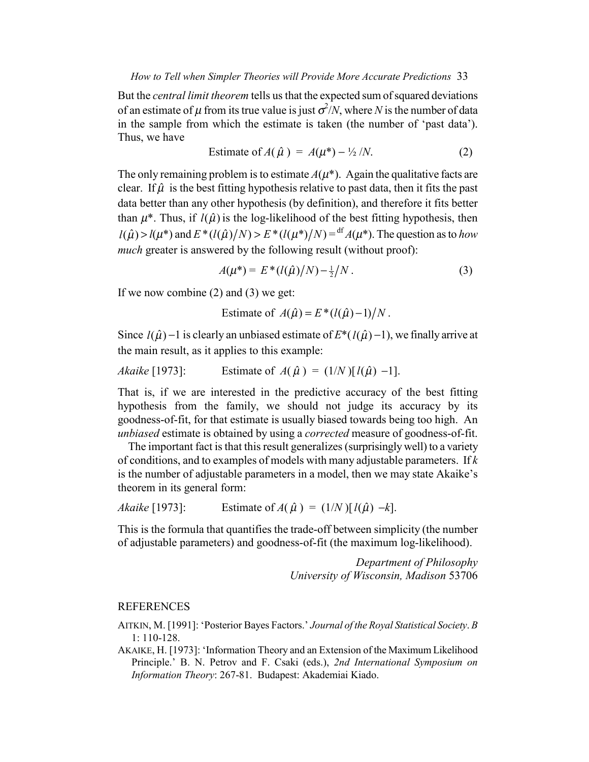But the *central limit theorem* tells us that the expected sum of squared deviations of an estimate of  $\mu$  from its true value is just  $\sigma^2/N$ , where N is the number of data in the sample from which the estimate is taken (the number of 'past data'). Thus, we have

Estimate of 
$$
A(\hat{\mu}) = A(\mu^*) - \frac{1}{2}N
$$
. (2)

The only remaining problem is to estimate  $A(\mu^*)$ . Again the qualitative facts are clear. If  $\hat{\mu}$  is the best fitting hypothesis relative to past data, then it fits the past data better than any other hypothesis (by definition), and therefore it fits better than  $\mu^*$ . Thus, if  $l(\hat{\mu})$  is the log-likelihood of the best fitting hypothesis, then  $l(\hat{\mu}) > l(\mu^*)$  and  $E^*$  ( $l(\hat{\mu})/N$ )  $> E^*$  ( $l(\mu^*)/N$ )  $=$  <sup>df</sup>  $A(\mu^*)$ . The question as to *how much* greater is answered by the following result (without proof):

$$
A(\mu^*) = E^* (l(\hat{\mu})/N) - \frac{1}{2} / N. \tag{3}
$$

If we now combine (2) and (3) we get:

Estimate of  $A(\hat{\mu}) = E^* (l(\hat{\mu}) - 1) / N$ .

Since  $l(\hat{\mu})$  −1 is clearly an unbiased estimate of  $E^*(l(\hat{\mu})-1)$ , we finally arrive at the main result, as it applies to this example:

*Akaike* [1973]: Estimate of  $A(\hat{\mu}) = (1/N)[l(\hat{\mu}) -1]$ .

That is, if we are interested in the predictive accuracy of the best fitting hypothesis from the family, we should not judge its accuracy by its goodness-of-fit, for that estimate is usually biased towards being too high. An *unbiased* estimate is obtained by using a *corrected* measure of goodness-of-fit.

The important fact is that this result generalizes (surprisingly well) to a variety of conditions, and to examples of models with many adjustable parameters. If *k*  is the number of adjustable parameters in a model, then we may state Akaike's theorem in its general form:

*Akaike* [1973]: Estimate of  $A(\hat{\mu}) = (1/N)[l(\hat{\mu}) - k]$ .

This is the formula that quantifies the trade-off between simplicity (the number of adjustable parameters) and goodness-of-fit (the maximum log-likelihood).

> *Department of Philosophy University of Wisconsin, Madison* 53706

#### REFERENCES

AITKIN, M. [1991]: 'Posterior Bayes Factors.' Journal of the Royal Statistical Society. *B* 1: 110-128.

AKAIKE, H. [1973]: 'Information Theory and an Extension of the Maximum Likelihood Principle.<sup>'</sup> B. N. Petrov and F. Csaki (eds.), 2nd International Symposium on *Information Theory*: 267-81. Budapest: Akademiai Kiado.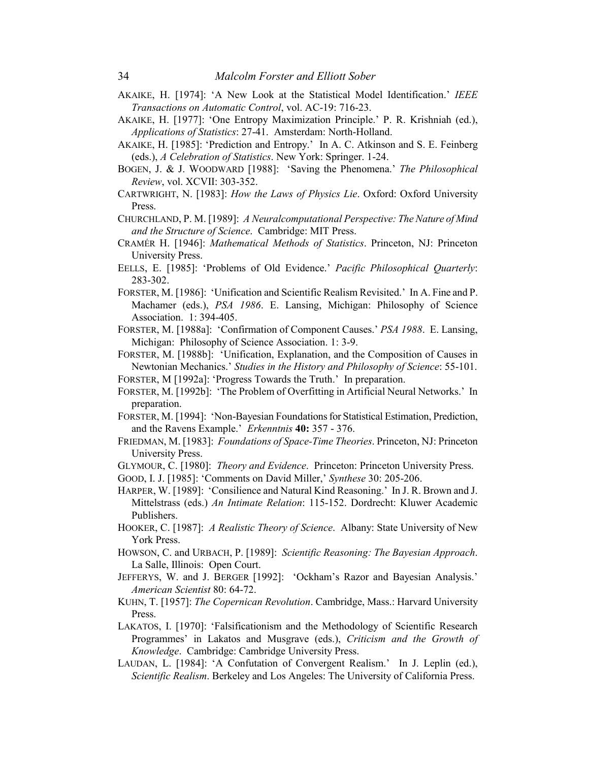- AKAIKE, H. [1974]: 'A New Look at the Statistical Model Identification.' IEEE *Transactions on Automatic Control*, vol. AC-19: 716-23.
- AKAIKE, H. [1977]: 'One Entropy Maximization Principle.' P. R. Krishniah (ed.), *Applications of Statistics*: 27-41. Amsterdam: North-Holland.
- AKAIKE, H. [1985]: 'Prediction and Entropy.' In A. C. Atkinson and S. E. Feinberg (eds.), *A Celebration of Statistics*. New York: Springer. 1-24.
- BOGEN, J. & J. WOODWARD [1988]: 'Saving the Phenomena.' *The Philosophical Review*, vol. XCVII: 303-352.
- CARTWRIGHT, N. [1983]: *How the Laws of Physics Lie*. Oxford: Oxford University Press.
- CHURCHLAND, P. M. [1989]: *A Neuralcomputational Perspective: The Nature of Mind and the Structure of Science*. Cambridge: MIT Press.
- CRAMÉR H. [1946]: *Mathematical Methods of Statistics*. Princeton, NJ: Princeton University Press.
- EELLS, E. [1985]: 'Problems of Old Evidence.' *Pacific Philosophical Quarterly*: 283-302.
- FORSTER, M. [1986]: 'Unification and Scientific Realism Revisited.' In A. Fine and P. Machamer (eds.), *PSA 1986*. E. Lansing, Michigan: Philosophy of Science Association. 1: 394-405.
- FORSTER, M. [1988a]: 'Confirmation of Component Causes.' *PSA 1988*. E. Lansing, Michigan: Philosophy of Science Association. 1: 3-9.
- FORSTER, M. [1988b]: 'Unification, Explanation, and the Composition of Causes in Newtonian Mechanics.' *Studies in the History and Philosophy of Science*: 55-101.
- FORSTER, M [1992a]: 'Progress Towards the Truth.' In preparation.
- FORSTER, M. [1992b]: 'The Problem of Overfitting in Artificial Neural Networks.' In preparation.
- FORSTER, M. [1994]: 'Non-Bayesian Foundations for Statistical Estimation, Prediction, and the Ravens Example.' *Erkenntnis* **40:** 357 - 376.
- FRIEDMAN, M. [1983]: *Foundations of Space-Time Theories*. Princeton, NJ: Princeton University Press.
- GLYMOUR, C. [1980]: *Theory and Evidence*. Princeton: Princeton University Press.
- GOOD, I. J. [1985]: 'Comments on David Miller,' *Synthese* 30: 205-206.
- HARPER, W. [1989]: 'Consilience and Natural Kind Reasoning.' In J. R. Brown and J. Mittelstrass (eds.) *An Intimate Relation*: 115-152. Dordrecht: Kluwer Academic Publishers.
- HOOKER, C. [1987]: *A Realistic Theory of Science*. Albany: State University of New York Press.
- HOWSON, C. and URBACH, P. [1989]: *Scientific Reasoning: The Bayesian Approach*. La Salle, Illinois: Open Court.
- JEFFERYS, W. and J. BERGER [1992]: 'Ockham's Razor and Bayesian Analysis.' *American Scientist* 80: 64-72.
- KUHN, T. [1957]: *The Copernican Revolution*. Cambridge, Mass.: Harvard University Press.
- LAKATOS, I. [1970]: ëFalsificationism and the Methodology of Scientific Research Programmes' in Lakatos and Musgrave (eds.), *Criticism and the Growth of Knowledge*. Cambridge: Cambridge University Press.
- LAUDAN, L. [1984]: 'A Confutation of Convergent Realism.' In J. Leplin (ed.), *Scientific Realism*. Berkeley and Los Angeles: The University of California Press.